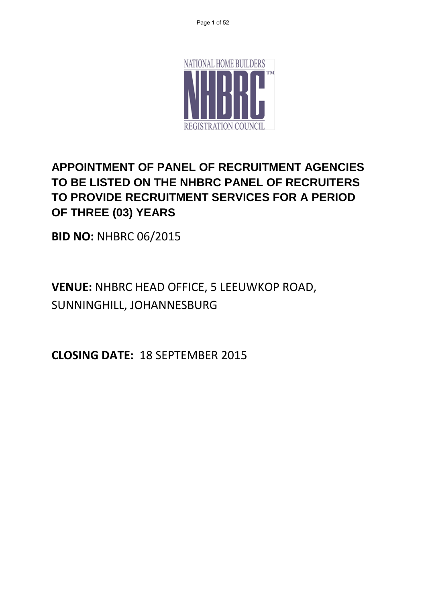

## **APPOINTMENT OF PANEL OF RECRUITMENT AGENCIES TO BE LISTED ON THE NHBRC PANEL OF RECRUITERS TO PROVIDE RECRUITMENT SERVICES FOR A PERIOD OF THREE (03) YEARS**

**BID NO:** NHBRC 06/2015

**VENUE:** NHBRC HEAD OFFICE, 5 LEEUWKOP ROAD, SUNNINGHILL, JOHANNESBURG

**CLOSING DATE:** 18 SEPTEMBER 2015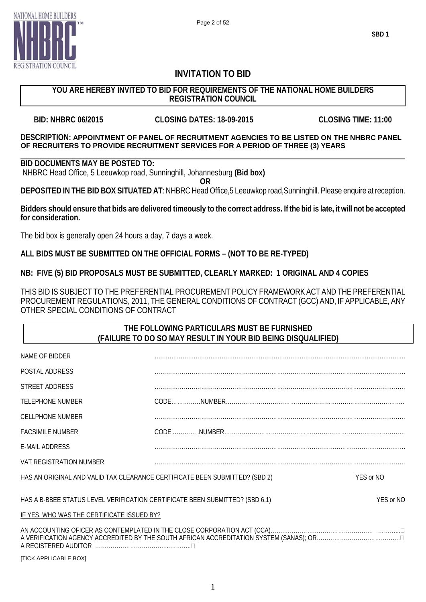

## **INVITATION TO BID**

### **YOU ARE HEREBY INVITED TO BID FOR REQUIREMENTS OF THE NATIONAL HOME BUILDERS REGISTRATION COUNCIL**

**BID: NHBRC 06/2015 CLOSING DATES: 18-09-2015 CLOSING TIME: 11:00**

#### **DESCRIPTION: APPOINTMENT OF PANEL OF RECRUITMENT AGENCIES TO BE LISTED ON THE NHBRC PANEL OF RECRUITERS TO PROVIDE RECRUITMENT SERVICES FOR A PERIOD OF THREE (3) YEARS**

#### **BID DOCUMENTS MAY BE POSTED TO:**

NHBRC Head Office, 5 Leeuwkop road, Sunninghill, Johannesburg **(Bid box)**

**OR**

**DEPOSITED IN THE BID BOX SITUATED AT**: NHBRC Head Office,5 Leeuwkop road,Sunninghill. Please enquire at reception.

#### **Bidders should ensure that bids are delivered timeously to the correct address. If the bid is late, it will not be accepted for consideration.**

The bid box is generally open 24 hours a day, 7 days a week.

### **ALL BIDS MUST BE SUBMITTED ON THE OFFICIAL FORMS – (NOT TO BE RE-TYPED)**

### **NB: FIVE (5) BID PROPOSALS MUST BE SUBMITTED, CLEARLY MARKED: 1 ORIGINAL AND 4 COPIES**

THIS BID IS SUBJECT TO THE PREFERENTIAL PROCUREMENT POLICY FRAMEWORK ACT AND THE PREFERENTIAL PROCUREMENT REGULATIONS, 2011, THE GENERAL CONDITIONS OF CONTRACT (GCC) AND, IF APPLICABLE, ANY OTHER SPECIAL CONDITIONS OF CONTRACT

### **THE FOLLOWING PARTICULARS MUST BE FURNISHED (FAILURE TO DO SO MAY RESULT IN YOUR BID BEING DISQUALIFIED)**

| NAME OF BIDDER                                                                            |  |  |
|-------------------------------------------------------------------------------------------|--|--|
| POSTAL ADDRESS                                                                            |  |  |
| STREET ADDRESS                                                                            |  |  |
| TELEPHONE NUMBER                                                                          |  |  |
| <b>CELLPHONE NUMBER</b>                                                                   |  |  |
| <b>FACSIMILE NUMBER</b>                                                                   |  |  |
| E-MAIL ADDRESS                                                                            |  |  |
| VAT REGISTRATION NUMBER                                                                   |  |  |
| HAS AN ORIGINAL AND VALID TAX CLEARANCE CERTIFICATE BEEN SUBMITTED? (SBD 2)<br>YES or NO  |  |  |
| HAS A B-BBEE STATUS LEVEL VERIFICATION CERTIFICATE BEEN SUBMITTED? (SBD 6.1)<br>YES or NO |  |  |
| IF YES, WHO WAS THE CERTIFICATE ISSUED BY?                                                |  |  |
|                                                                                           |  |  |

[TICK APPLICABLE BOX]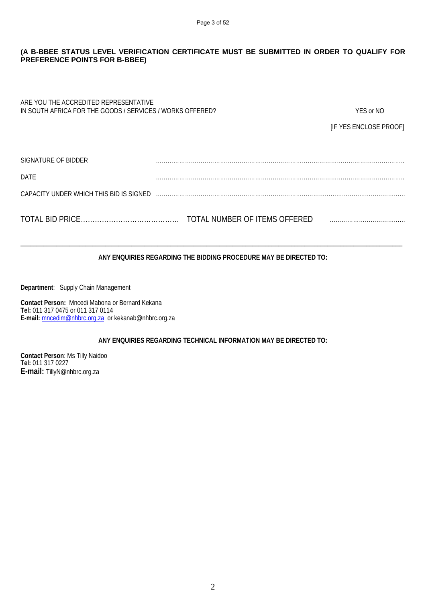#### **(A B-BBEE STATUS LEVEL VERIFICATION CERTIFICATE MUST BE SUBMITTED IN ORDER TO QUALIFY FOR PREFERENCE POINTS FOR B-BBEE)**

| ARE YOU THE ACCREDITED REPRESENTATIVE<br>IN SOUTH AFRICA FOR THE GOODS / SERVICES / WORKS OFFERED? |                               | YES or NO              |
|----------------------------------------------------------------------------------------------------|-------------------------------|------------------------|
|                                                                                                    |                               | [IF YES ENCLOSE PROOF] |
|                                                                                                    |                               |                        |
| SIGNATURE OF BIDDER                                                                                |                               |                        |
| <b>DATF</b>                                                                                        |                               |                        |
| CAPACITY UNDER WHICH THIS BID IS SIGNED                                                            |                               |                        |
|                                                                                                    | TOTAL NUMBER OF ITEMS OFFERED |                        |

#### **ANY ENQUIRIES REGARDING THE BIDDING PROCEDURE MAY BE DIRECTED TO:**

\_\_\_\_\_\_\_\_\_\_\_\_\_\_\_\_\_\_\_\_\_\_\_\_\_\_\_\_\_\_\_\_\_\_\_\_\_\_\_\_\_\_\_\_\_\_\_\_\_\_\_\_\_\_\_\_\_\_\_\_\_\_\_\_\_\_\_\_\_\_\_\_\_\_\_\_\_\_\_\_\_\_\_\_\_\_\_\_\_\_\_\_\_\_\_\_\_\_\_\_\_\_\_\_\_\_\_\_\_\_\_\_\_\_\_\_\_

**Department**: Supply Chain Management

**Contact Person:** Mncedi Mabona or Bernard Kekana **Tel:** 011 317 0475 or 011 317 0114 **E-mail:** [mncedim@nhbrc.org.za](mailto:mncedim@nhbrc.org.za) or kekanab@nhbrc.org.za

#### **ANY ENQUIRIES REGARDING TECHNICAL INFORMATION MAY BE DIRECTED TO:**

**Contact Person**: Ms Tilly Naidoo **Tel:** 011 317 0227 **E-mail:** TillyN@nhbrc.org.za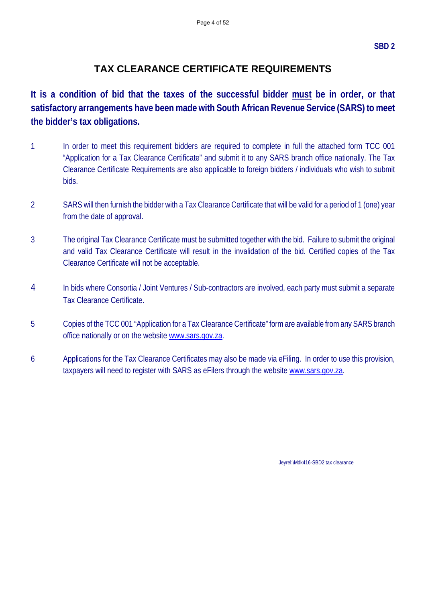## **TAX CLEARANCE CERTIFICATE REQUIREMENTS**

**It is a condition of bid that the taxes of the successful bidder must be in order, or that satisfactory arrangements have been made with South African Revenue Service (SARS) to meet the bidder's tax obligations.** 

- 1 In order to meet this requirement bidders are required to complete in full the attached form TCC 001 "Application for a Tax Clearance Certificate" and submit it to any SARS branch office nationally. The Tax Clearance Certificate Requirements are also applicable to foreign bidders / individuals who wish to submit bids.
- 2 SARS will then furnish the bidder with a Tax Clearance Certificate that will be valid for a period of 1 (one) year from the date of approval.
- 3 The original Tax Clearance Certificate must be submitted together with the bid. Failure to submit the original and valid Tax Clearance Certificate will result in the invalidation of the bid. Certified copies of the Tax Clearance Certificate will not be acceptable.
- 4 In bids where Consortia / Joint Ventures / Sub-contractors are involved, each party must submit a separate Tax Clearance Certificate.
- 5 Copies of the TCC 001 "Application for a Tax Clearance Certificate" form are available from any SARS branch office nationally or on the website www.sars.gov.za.
- 6 Applications for the Tax Clearance Certificates may also be made via eFiling. In order to use this provision, taxpayers will need to register with SARS as eFilers through the website www.sars.gov.za.

Jeyrel:\Mdk416-SBD2 tax clearance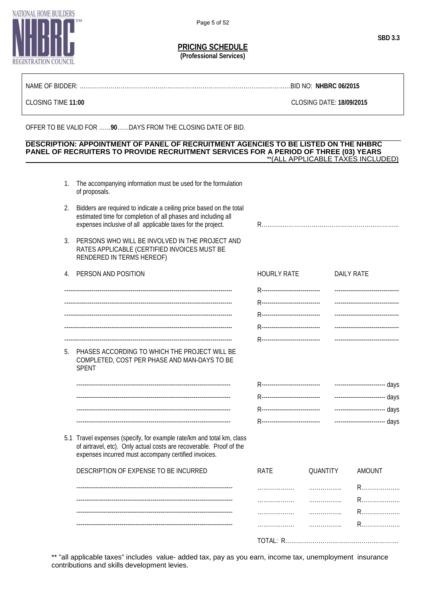**PRICING SCHEDULE**

**(Professional Services)**

| NAMF<br>`)⊦<br>י וו וור<br>l Ne -eestatasestatasestatasestatasestatasestatasestatasestatasestatasestatasestatasestatasestatasestatasestata | .BID NO: | <b>NHBR</b><br>. 06/2011 |
|--------------------------------------------------------------------------------------------------------------------------------------------|----------|--------------------------|
|--------------------------------------------------------------------------------------------------------------------------------------------|----------|--------------------------|

CLOSING TIME **11:00** CLOSING DATE: **18/09/2015**

OFFER TO BE VALID FOR ……**90**……DAYS FROM THE CLOSING DATE OF BID.

#### **DESCRIPTION: APPOINTMENT OF PANEL OF RECRUITMENT AGENCIES TO BE LISTED ON THE NHBRC PANEL OF RECRUITERS TO PROVIDE RECRUITMENT SERVICES FOR A PERIOD OF THREE (03) YEARS** \*\*(ALL APPLICABLE TAXES INCLUDED)

- 1. The accompanying information must be used for the formulation of proposals.
	- 2. Bidders are required to indicate a ceiling price based on the total estimated time for completion of all phases and including all expenses inclusive of all applicable taxes for the project. R………..…………………………………………………...
	- 3. PERSONS WHO WILL BE INVOLVED IN THE PROJECT AND RATES APPLICABLE (CERTIFIED INVOICES MUST BE RENDERED IN TERMS HEREOF)

| 4. PERSON AND POSITION                                                                                           | <b>HOURLY RATE</b> | <b>DAILY RATE</b> |
|------------------------------------------------------------------------------------------------------------------|--------------------|-------------------|
|                                                                                                                  |                    |                   |
|                                                                                                                  |                    |                   |
|                                                                                                                  |                    |                   |
|                                                                                                                  |                    |                   |
|                                                                                                                  |                    |                   |
| 5. PHASES ACCORDING TO WHICH THE PROJECT WILL BE<br>COMPLETED, COST PER PHASE AND MAN-DAYS TO BE<br><b>SPENT</b> |                    |                   |
|                                                                                                                  |                    |                   |
|                                                                                                                  |                    |                   |
|                                                                                                                  |                    |                   |
|                                                                                                                  |                    |                   |

5.1 Travel expenses (specify, for example rate/km and total km, class of airtravel, etc). Only actual costs are recoverable. Proof of the expenses incurred must accompany certified invoices.

| DESCRIPTION OF EXPENSE TO BE INCURRED | RATE      | QUANTITY | AMOUNT |
|---------------------------------------|-----------|----------|--------|
|                                       | .         | .        |        |
|                                       |           | .        | R      |
|                                       | .         | .        |        |
|                                       | .         | .        |        |
|                                       | TOTAL: R. |          |        |

\*\* "all applicable taxes" includes value- added tax, pay as you earn, income tax, unemployment insurance contributions and skills development levies.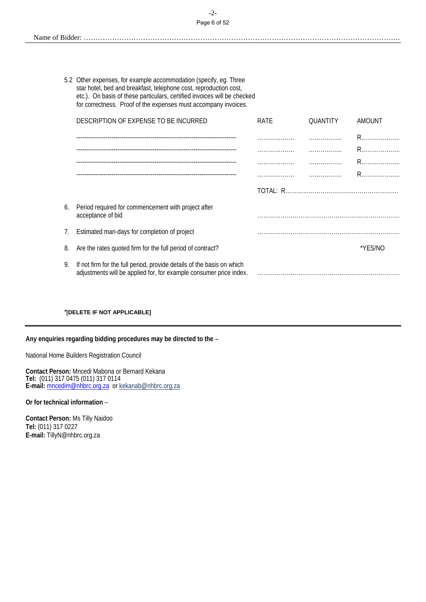#### -2- Page 6 of 52

| $\mathbf{v}$<br>Name of |
|-------------------------|
|-------------------------|

5.2 Other expenses, for example accommodation (specify, eg. Three star hotel, bed and breakfast, telephone cost, reproduction cost, etc.). On basis of these particulars, certified invoices will be checked for correctness. Proof of the expenses must accompany invoices.

|    | DESCRIPTION OF EXPENSE TO BE INCURRED                                                                                                        | <b>RATE</b> | QUANTITY | <b>AMOUNT</b> |
|----|----------------------------------------------------------------------------------------------------------------------------------------------|-------------|----------|---------------|
|    |                                                                                                                                              |             | .        |               |
|    |                                                                                                                                              | .           | .        |               |
|    |                                                                                                                                              | .           | .        |               |
|    |                                                                                                                                              | .           | .        |               |
|    |                                                                                                                                              |             |          |               |
| 6. | Period required for commencement with project after<br>acceptance of bid                                                                     |             |          |               |
|    | 7. Estimated man-days for completion of project                                                                                              |             |          |               |
| 8. | Are the rates quoted firm for the full period of contract?                                                                                   |             |          | *YES/NO       |
| 9. | If not firm for the full period, provide details of the basis on which<br>adjustments will be applied for, for example consumer price index. |             |          |               |
|    |                                                                                                                                              |             |          |               |

#### \***[DELETE IF NOT APPLICABLE]**

**Any enquiries regarding bidding procedures may be directed to the** –

National Home Builders Registration Council

**Contact Person:** Mncedi Mabona or Bernard Kekana **Tel:** (011) 317 0475 (011) 317 0114 **E-mail:** [mncedim@nhbrc.org.za](mailto:mncedim@nhbrc.org.za) or kekanab@nhbrc.org.za

**Or for technical information** –

**Contact Person:** Ms Tilly Naidoo **Tel:** (011) 317 0227 **E-mail:** TillyN@nhbrc.org.za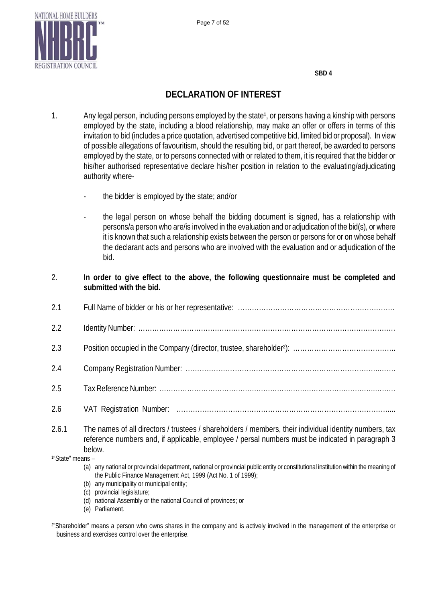

**SBD 4**

## **DECLARATION OF INTEREST**

- 1. Any legal person, including persons employed by the state<sup>1</sup>, or persons having a kinship with persons employed by the state, including a blood relationship, may make an offer or offers in terms of this invitation to bid (includes a price quotation, advertised competitive bid, limited bid or proposal). In view of possible allegations of favouritism, should the resulting bid, or part thereof, be awarded to persons employed by the state, or to persons connected with or related to them, it is required that the bidder or his/her authorised representative declare his/her position in relation to the evaluating/adjudicating authority where
	- the bidder is employed by the state; and/or
	- the legal person on whose behalf the bidding document is signed, has a relationship with persons/a person who are/is involved in the evaluation and or adjudication of the bid(s), or where it is known that such a relationship exists between the person or persons for or on whose behalf the declarant acts and persons who are involved with the evaluation and or adjudication of the bid.
- 2. **In order to give effect to the above, the following questionnaire must be completed and submitted with the bid.**
- 2.1 Full Name of bidder or his or her representative: …………………………………………………………. 2.2 Identity Number: ………………………………………………………………………………………………… 2.3 Position occupied in the Company (director, trustee, shareholder²): …………………………………….. 2.4 Company Registration Number: ………………………………………………………………………..……. 2.5 Tax Reference Number: ………………………………………………………………………………….……… 2.6 VAT Registration Number: ………………………………………………………………………………....
- 2.6.1 The names of all directors / trustees / shareholders / members, their individual identity numbers, tax reference numbers and, if applicable, employee / persal numbers must be indicated in paragraph 3 below.

1"State" means -

- (a) any national or provincial department, national or provincial public entity or constitutional institution within the meaning of the Public Finance Management Act, 1999 (Act No. 1 of 1999);
- (b) any municipality or municipal entity;
- (c) provincial legislature;
- (d) national Assembly or the national Council of provinces; or
- (e) Parliament.

<sup>2</sup>"Shareholder" means a person who owns shares in the company and is actively involved in the management of the enterprise or business and exercises control over the enterprise.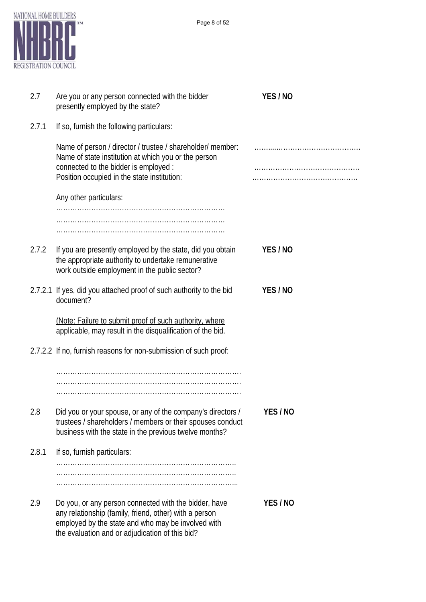

| 2.7   | Are you or any person connected with the bidder<br>presently employed by the state?                                                                                                                                      | YES/NO   |
|-------|--------------------------------------------------------------------------------------------------------------------------------------------------------------------------------------------------------------------------|----------|
| 2.7.1 | If so, furnish the following particulars:                                                                                                                                                                                |          |
|       | Name of person / director / trustee / shareholder/ member:<br>Name of state institution at which you or the person<br>connected to the bidder is employed :<br>Position occupied in the state institution:               |          |
|       | Any other particulars:                                                                                                                                                                                                   |          |
|       |                                                                                                                                                                                                                          |          |
|       |                                                                                                                                                                                                                          |          |
| 2.7.2 | If you are presently employed by the state, did you obtain<br>the appropriate authority to undertake remunerative<br>work outside employment in the public sector?                                                       | YES/NO   |
|       | 2.7.2.1 If yes, did you attached proof of such authority to the bid<br>document?                                                                                                                                         | YES/NO   |
|       | (Note: Failure to submit proof of such authority, where<br>applicable, may result in the disqualification of the bid.                                                                                                    |          |
|       | 2.7.2.2 If no, furnish reasons for non-submission of such proof:                                                                                                                                                         |          |
|       |                                                                                                                                                                                                                          |          |
| 2.8   | Did you or your spouse, or any of the company's directors /<br>trustees / shareholders / members or their spouses conduct<br>business with the state in the previous twelve months?                                      | YES / NO |
| 2.8.1 | If so, furnish particulars:                                                                                                                                                                                              |          |
|       |                                                                                                                                                                                                                          |          |
| 2.9   | Do you, or any person connected with the bidder, have<br>any relationship (family, friend, other) with a person<br>employed by the state and who may be involved with<br>the evaluation and or adjudication of this bid? | YES/NO   |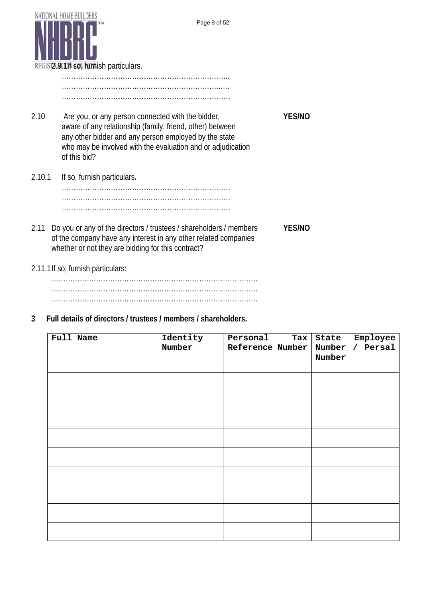

**3 Full details of directors / trustees / members / shareholders.**

| Full Name | Identity<br>Number | Personal<br>$\texttt{Tax}$<br>Reference Number | State Employee<br>Number / Persal<br>Number |
|-----------|--------------------|------------------------------------------------|---------------------------------------------|
|           |                    |                                                |                                             |
|           |                    |                                                |                                             |
|           |                    |                                                |                                             |
|           |                    |                                                |                                             |
|           |                    |                                                |                                             |
|           |                    |                                                |                                             |
|           |                    |                                                |                                             |
|           |                    |                                                |                                             |
|           |                    |                                                |                                             |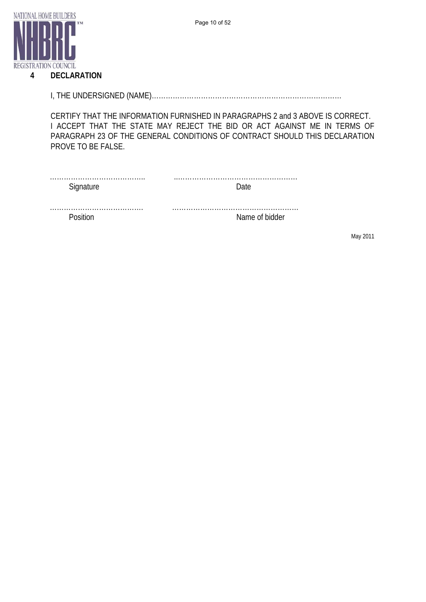

#### **4 DECLARATION**

I, THE UNDERSIGNED (NAME)………………………………………………………………………

CERTIFY THAT THE INFORMATION FURNISHED IN PARAGRAPHS 2 and 3 ABOVE IS CORRECT. I ACCEPT THAT THE STATE MAY REJECT THE BID OR ACT AGAINST ME IN TERMS OF PARAGRAPH 23 OF THE GENERAL CONDITIONS OF CONTRACT SHOULD THIS DECLARATION PROVE TO BE FALSE.

| <b></b><br>Sianature |  |
|----------------------|--|

…………………………………. ………………………………………………

Position Name of bidder

May 2011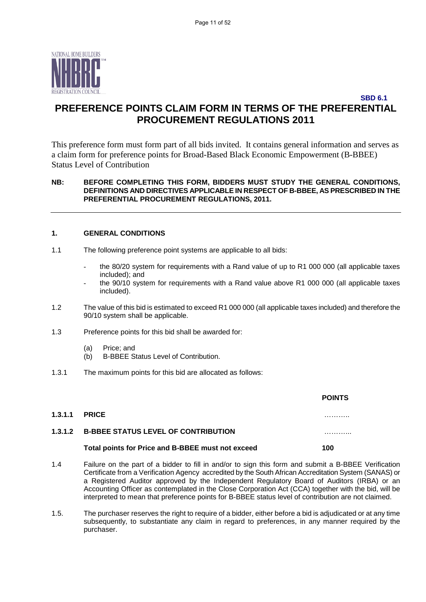

## **SBD 6.1 PREFERENCE POINTS CLAIM FORM IN TERMS OF THE PREFERENTIAL PROCUREMENT REGULATIONS 2011**

This preference form must form part of all bids invited. It contains general information and serves as a claim form for preference points for Broad-Based Black Economic Empowerment (B-BBEE) Status Level of Contribution

#### **NB: BEFORE COMPLETING THIS FORM, BIDDERS MUST STUDY THE GENERAL CONDITIONS, DEFINITIONS AND DIRECTIVES APPLICABLE IN RESPECT OF B-BBEE, AS PRESCRIBED IN THE PREFERENTIAL PROCUREMENT REGULATIONS, 2011.**

#### **1. GENERAL CONDITIONS**

- 1.1 The following preference point systems are applicable to all bids:
	- the 80/20 system for requirements with a Rand value of up to R1 000 000 (all applicable taxes included); and
	- the 90/10 system for requirements with a Rand value above R1 000 000 (all applicable taxes included).
- 1.2 The value of this bid is estimated to exceed R1 000 000 (all applicable taxes included) and therefore the 90/10 system shall be applicable.
- 1.3 Preference points for this bid shall be awarded for:
	- (a) Price; and<br>(b) B-BBEE S
	- B-BBEE Status Level of Contribution.
- 1.3.1 The maximum points for this bid are allocated as follows:

|                                                   | <b>POINTS</b> |
|---------------------------------------------------|---------------|
| <b>1.3.1.1 PRICE</b>                              | .             |
| 1.3.1.2 B-BBEE STATUS LEVEL OF CONTRIBUTION       | .             |
| Total points for Price and B-BBEE must not exceed | 100           |
|                                                   |               |

- 1.4 Failure on the part of a bidder to fill in and/or to sign this form and submit a B-BBEE Verification Certificate from a Verification Agency accredited by the South African Accreditation System (SANAS) or a Registered Auditor approved by the Independent Regulatory Board of Auditors (IRBA) or an Accounting Officer as contemplated in the Close Corporation Act (CCA) together with the bid, will be interpreted to mean that preference points for B-BBEE status level of contribution are not claimed.
- 1.5. The purchaser reserves the right to require of a bidder, either before a bid is adjudicated or at any time subsequently, to substantiate any claim in regard to preferences, in any manner required by the purchaser.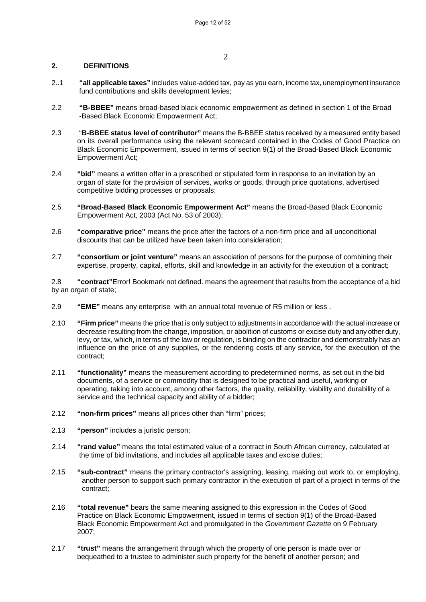#### **2. DEFINITIONS**

- 2..1 **"all applicable taxes"** includes value-added tax, pay as you earn, income tax, unemployment insurance fund contributions and skills development levies;
- 2.2 **"B-BBEE"** means broad-based black economic empowerment as defined in section 1 of the Broad -Based Black Economic Empowerment Act;
- 2.3 "**B-BBEE status level of contributor"** means the B-BBEE status received by a measured entity based on its overall performance using the relevant scorecard contained in the Codes of Good Practice on Black Economic Empowerment, issued in terms of section 9(1) of the Broad-Based Black Economic Empowerment Act;
- 2.4 **"bid"** means a written offer in a prescribed or stipulated form in response to an invitation by an organ of state for the provision of services, works or goods, through price quotations, advertised competitive bidding processes or proposals;
- 2.5 **"Broad-Based Black Economic Empowerment Act"** means the Broad-Based Black Economic Empowerment Act, 2003 (Act No. 53 of 2003);
- 2.6 **"comparative price"** means the price after the factors of a non-firm price and all unconditional discounts that can be utilized have been taken into consideration;
- 2.7 **"consortium or joint venture"** means an association of persons for the purpose of combining their expertise, property, capital, efforts, skill and knowledge in an activity for the execution of a contract;

2.8 **"contract"**Error! Bookmark not defined. means the agreement that results from the acceptance of a bid by an organ of state;

- 2.9 **"EME"** means any enterprise with an annual total revenue of R5 million or less .
- 2.10 **"Firm price"** means the price that is only subject to adjustments in accordance with the actual increase or decrease resulting from the change, imposition, or abolition of customs or excise duty and any other duty, levy, or tax, which, in terms of the law or regulation, is binding on the contractor and demonstrably has an influence on the price of any supplies, or the rendering costs of any service, for the execution of the contract;
- 2.11 **"functionality"** means the measurement according to predetermined norms, as set out in the bid documents, of a service or commodity that is designed to be practical and useful, working or operating, taking into account, among other factors, the quality, reliability, viability and durability of a service and the technical capacity and ability of a bidder;
- 2.12 **"non-firm prices"** means all prices other than "firm" prices;
- 2.13 **"person"** includes a juristic person;
- 2.14 **"rand value"** means the total estimated value of a contract in South African currency, calculated at the time of bid invitations, and includes all applicable taxes and excise duties;
- 2.15 **"sub-contract"** means the primary contractor's assigning, leasing, making out work to, or employing, another person to support such primary contractor in the execution of part of a project in terms of the contract;
- 2.16 **"total revenue"** bears the same meaning assigned to this expression in the Codes of Good Practice on Black Economic Empowerment, issued in terms of section 9(1) of the Broad-Based Black Economic Empowerment Act and promulgated in the *Government Gazette* on 9 February 2007;
- 2.17 **"trust"** means the arrangement through which the property of one person is made over or bequeathed to a trustee to administer such property for the benefit of another person; and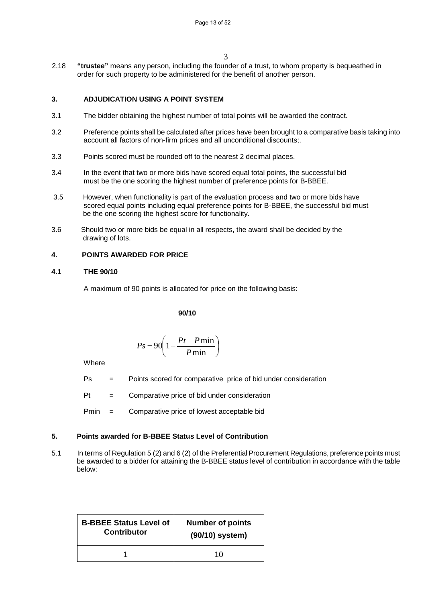2.18 **"trustee"** means any person, including the founder of a trust, to whom property is bequeathed in order for such property to be administered for the benefit of another person.

#### **3. ADJUDICATION USING A POINT SYSTEM**

- 3.1 The bidder obtaining the highest number of total points will be awarded the contract.
- 3.2 Preference points shall be calculated after prices have been brought to a comparative basis taking into account all factors of non-firm prices and all unconditional discounts;.
- 3.3 Points scored must be rounded off to the nearest 2 decimal places.
- 3.4 In the event that two or more bids have scored equal total points, the successful bid must be the one scoring the highest number of preference points for B-BBEE.
- 3.5 However, when functionality is part of the evaluation process and two or more bids have scored equal points including equal preference points for B-BBEE, the successful bid must be the one scoring the highest score for functionality.
- 3.6 Should two or more bids be equal in all respects, the award shall be decided by the drawing of lots.

#### **4. POINTS AWARDED FOR PRICE**

#### **4.1 THE 90/10**

A maximum of 90 points is allocated for price on the following basis:

#### **90/10**

$$
Ps = 90 \left( 1 - \frac{Pt - P \min}{P \min} \right)
$$

**Where** 

- Ps = Points scored for comparative price of bid under consideration
- $Pt =$  Comparative price of bid under consideration
- Pmin = Comparative price of lowest acceptable bid

#### **5. Points awarded for B-BBEE Status Level of Contribution**

5.1 In terms of Regulation 5 (2) and 6 (2) of the Preferential Procurement Regulations, preference points must be awarded to a bidder for attaining the B-BBEE status level of contribution in accordance with the table below:

| <b>B-BBEE Status Level of</b> | <b>Number of points</b> |  |
|-------------------------------|-------------------------|--|
| <b>Contributor</b>            | (90/10) system)         |  |
|                               | 10                      |  |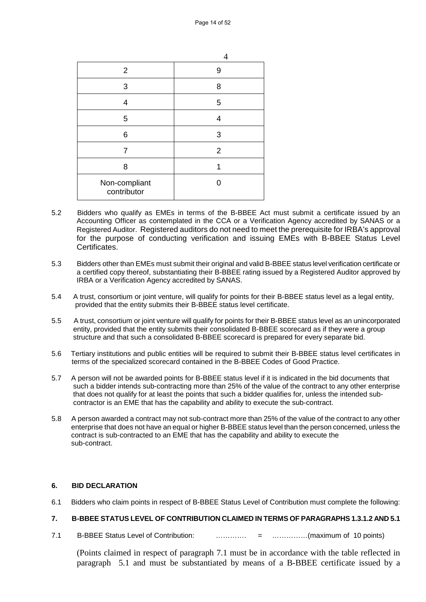| 2                            | 9              |
|------------------------------|----------------|
| 3                            | 8              |
| 4                            | 5              |
| 5                            | 4              |
| 6                            | 3              |
| 7                            | $\overline{2}$ |
| 8                            | 1              |
| Non-compliant<br>contributor |                |

- 5.2 Bidders who qualify as EMEs in terms of the B-BBEE Act must submit a certificate issued by an Accounting Officer as contemplated in the CCA or a Verification Agency accredited by SANAS or a Registered Auditor. Registered auditors do not need to meet the prerequisite for IRBA's approval for the purpose of conducting verification and issuing EMEs with B-BBEE Status Level Certificates.
- 5.3 Bidders other than EMEs must submit their original and valid B-BBEE status level verification certificate or a certified copy thereof, substantiating their B-BBEE rating issued by a Registered Auditor approved by IRBA or a Verification Agency accredited by SANAS.
- 5.4 A trust, consortium or joint venture, will qualify for points for their B-BBEE status level as a legal entity, provided that the entity submits their B-BBEE status level certificate.
- 5.5 A trust, consortium or joint venture will qualify for points for their B-BBEE status level as an unincorporated entity, provided that the entity submits their consolidated B-BBEE scorecard as if they were a group structure and that such a consolidated B-BBEE scorecard is prepared for every separate bid.
- 5.6 Tertiary institutions and public entities will be required to submit their B-BBEE status level certificates in terms of the specialized scorecard contained in the B-BBEE Codes of Good Practice.
- 5.7 A person will not be awarded points for B-BBEE status level if it is indicated in the bid documents that such a bidder intends sub-contracting more than 25% of the value of the contract to any other enterprise that does not qualify for at least the points that such a bidder qualifies for, unless the intended sub contractor is an EME that has the capability and ability to execute the sub-contract.
- 5.8 A person awarded a contract may not sub-contract more than 25% of the value of the contract to any other enterprise that does not have an equal or higher B-BBEE status level than the person concerned, unless the contract is sub-contracted to an EME that has the capability and ability to execute the sub-contract.

#### **6. BID DECLARATION**

6.1 Bidders who claim points in respect of B-BBEE Status Level of Contribution must complete the following:

#### **7. B-BBEE STATUS LEVEL OF CONTRIBUTION CLAIMED IN TERMS OF PARAGRAPHS 1.3.1.2 AND 5.1**

7.1 B-BBEE Status Level of Contribution: …………. = ……………(maximum of 10 points)

(Points claimed in respect of paragraph 7.1 must be in accordance with the table reflected in paragraph 5.1 and must be substantiated by means of a B-BBEE certificate issued by a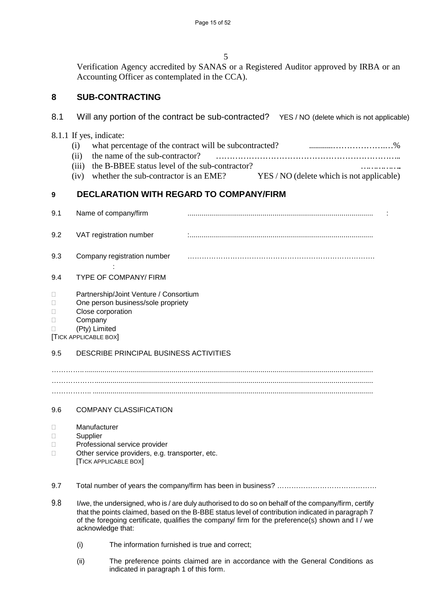5

Verification Agency accredited by SANAS or a Registered Auditor approved by IRBA or an Accounting Officer as contemplated in the CCA).

## **8 SUB-CONTRACTING**

## 8.1 Will any portion of the contract be sub-contracted? YES / NO (delete which is not applicable)

### 8.1.1 If yes, indicate:

- (i) what percentage of the contract will be subcontracted? ............……………….…%
- (ii) the name of the sub-contractor? …………………………………………………………..
- (iii) the B-BBEE status level of the sub-contractor? ……………..
- (iv) whether the sub-contractor is an EME? YES / NO (delete which is not applicable)

## **9 DECLARATION WITH REGARD TO COMPANY/FIRM**

| 9.1                    | Name of company/firm                                                                                                                                   |  |
|------------------------|--------------------------------------------------------------------------------------------------------------------------------------------------------|--|
| 9.2                    | VAT registration number                                                                                                                                |  |
| 9.3                    | Company registration number                                                                                                                            |  |
| 9.4                    | <b>TYPE OF COMPANY/ FIRM</b>                                                                                                                           |  |
| Ш<br>П<br>□            | Partnership/Joint Venture / Consortium<br>One person business/sole propriety<br>Close corporation<br>Company<br>(Pty) Limited<br>[TICK APPLICABLE BOX] |  |
| 9.5                    | DESCRIBE PRINCIPAL BUSINESS ACTIVITIES                                                                                                                 |  |
|                        |                                                                                                                                                        |  |
|                        |                                                                                                                                                        |  |
| 9.6                    | <b>COMPANY CLASSIFICATION</b>                                                                                                                          |  |
| П<br>□<br>$\mathbf{L}$ | Manufacturer<br>Supplier<br>Professional service provider<br>Other service providers, e.g. transporter, etc.<br><b>TICK APPLICABLE BOX</b>             |  |
| 9.7                    |                                                                                                                                                        |  |

- 9.8 I/we, the undersigned, who is / are duly authorised to do so on behalf of the company/firm, certify that the points claimed, based on the B-BBE status level of contribution indicated in paragraph 7 of the foregoing certificate, qualifies the company/ firm for the preference(s) shown and I / we acknowledge that:
	- (i) The information furnished is true and correct;
	- (ii) The preference points claimed are in accordance with the General Conditions as indicated in paragraph 1 of this form.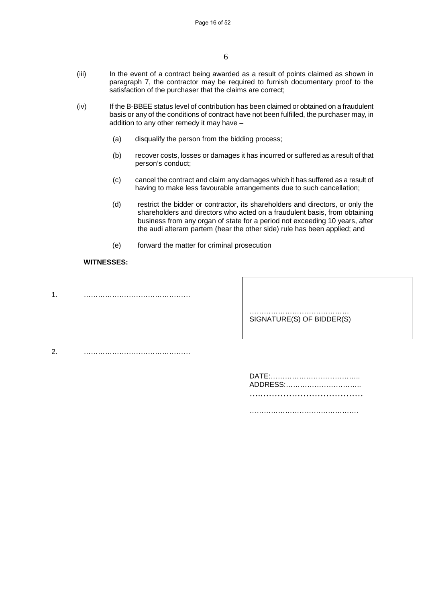- (iii) In the event of a contract being awarded as a result of points claimed as shown in paragraph 7, the contractor may be required to furnish documentary proof to the satisfaction of the purchaser that the claims are correct;
- (iv) If the B-BBEE status level of contribution has been claimed or obtained on a fraudulent basis or any of the conditions of contract have not been fulfilled, the purchaser may, in addition to any other remedy it may have –
	- (a) disqualify the person from the bidding process;
	- (b) recover costs, losses or damages it has incurred or suffered as a result of that person's conduct;
	- (c) cancel the contract and claim any damages which it has suffered as a result of having to make less favourable arrangements due to such cancellation;
	- (d) restrict the bidder or contractor, its shareholders and directors, or only the shareholders and directors who acted on a fraudulent basis, from obtaining business from any organ of state for a period not exceeding 10 years, after the audi alteram partem (hear the other side) rule has been applied; and
	- (e) forward the matter for criminal prosecution

#### **WITNESSES:**

1. ………………………………………

 …………………………………… SIGNATURE(S) OF BIDDER(S)

2. ………………………………………

| ADDRESS: |
|----------|
|          |
|          |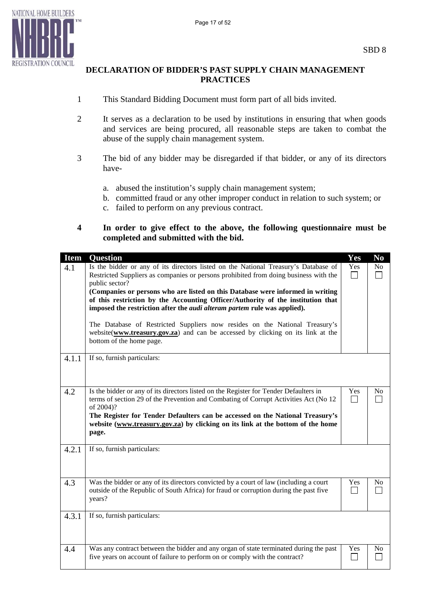

## **DECLARATION OF BIDDER'S PAST SUPPLY CHAIN MANAGEMENT PRACTICES**

- 1 This Standard Bidding Document must form part of all bids invited.
- 2 It serves as a declaration to be used by institutions in ensuring that when goods and services are being procured, all reasonable steps are taken to combat the abuse of the supply chain management system.
- 3 The bid of any bidder may be disregarded if that bidder, or any of its directors have
	- a. abused the institution's supply chain management system;
	- b. committed fraud or any other improper conduct in relation to such system; or
	- c. failed to perform on any previous contract.
- **4 In order to give effect to the above, the following questionnaire must be completed and submitted with the bid.**

| <b>Item</b> | <b>Question</b>                                                                                                                                                                                                                                                             | Yes | N <sub>0</sub> |
|-------------|-----------------------------------------------------------------------------------------------------------------------------------------------------------------------------------------------------------------------------------------------------------------------------|-----|----------------|
| 4.1         | Is the bidder or any of its directors listed on the National Treasury's Database of<br>Restricted Suppliers as companies or persons prohibited from doing business with the<br>public sector?                                                                               | Yes | No             |
|             | (Companies or persons who are listed on this Database were informed in writing<br>of this restriction by the Accounting Officer/Authority of the institution that<br>imposed the restriction after the <i>audi alteram partem</i> rule was applied).                        |     |                |
|             | The Database of Restricted Suppliers now resides on the National Treasury's<br>website(www.treasury.gov.za) and can be accessed by clicking on its link at the<br>bottom of the home page.                                                                                  |     |                |
| 4.1.1       | If so, furnish particulars:                                                                                                                                                                                                                                                 |     |                |
| 4.2         | Is the bidder or any of its directors listed on the Register for Tender Defaulters in<br>terms of section 29 of the Prevention and Combating of Corrupt Activities Act (No 12<br>of 2004)?<br>The Register for Tender Defaulters can be accessed on the National Treasury's | Yes | No             |
|             | website (www.treasury.gov.za) by clicking on its link at the bottom of the home<br>page.                                                                                                                                                                                    |     |                |
| 4.2.1       | If so, furnish particulars:                                                                                                                                                                                                                                                 |     |                |
| 4.3         | Was the bidder or any of its directors convicted by a court of law (including a court<br>outside of the Republic of South Africa) for fraud or corruption during the past five<br>years?                                                                                    | Yes | N <sub>0</sub> |
| 4.3.1       | If so, furnish particulars:                                                                                                                                                                                                                                                 |     |                |
| 4.4         | Was any contract between the bidder and any organ of state terminated during the past<br>five years on account of failure to perform on or comply with the contract?                                                                                                        | Yes | N <sub>0</sub> |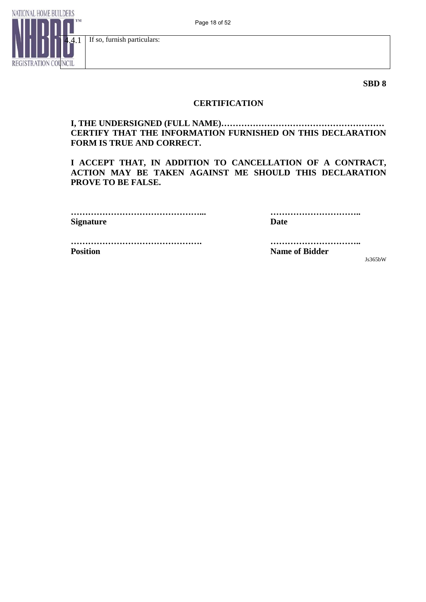

**SBD 8**

### **CERTIFICATION**

### **I, THE UNDERSIGNED (FULL NAME)………………………………………………… CERTIFY THAT THE INFORMATION FURNISHED ON THIS DECLARATION FORM IS TRUE AND CORRECT.**

**I ACCEPT THAT, IN ADDITION TO CANCELLATION OF A CONTRACT, ACTION MAY BE TAKEN AGAINST ME SHOULD THIS DECLARATION PROVE TO BE FALSE.**

| Signature | Date |
|-----------|------|

 **………………………………………... …………………………..** 

 **………………………………………. ………………………….. Position Contract Position Position Position** Position Position Position Position Position Position Position Position Position Position Position Position Position Position Position Position Position Position Position Posi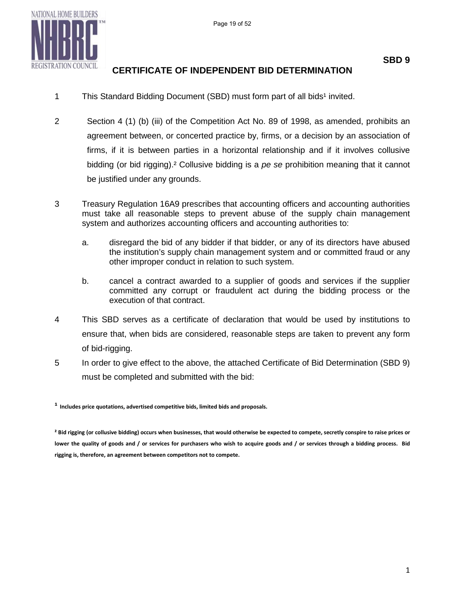

## **CERTIFICATE OF INDEPENDENT BID DETERMINATION**

- 1 This Standard Bidding Document (SBD) must form part of all bids<sup>1</sup> invited.
- 2 Section 4 (1) (b) (iii) of the Competition Act No. 89 of 1998, as amended, prohibits an agreement between, or concerted practice by, firms, or a decision by an association of firms, if it is between parties in a horizontal relationship and if it involves collusive bidding (or bid rigging).² Collusive bidding is a *pe se* prohibition meaning that it cannot be justified under any grounds.
- 3 Treasury Regulation 16A9 prescribes that accounting officers and accounting authorities must take all reasonable steps to prevent abuse of the supply chain management system and authorizes accounting officers and accounting authorities to:
	- a. disregard the bid of any bidder if that bidder, or any of its directors have abused the institution's supply chain management system and or committed fraud or any other improper conduct in relation to such system.
	- b. cancel a contract awarded to a supplier of goods and services if the supplier committed any corrupt or fraudulent act during the bidding process or the execution of that contract.
- 4 This SBD serves as a certificate of declaration that would be used by institutions to ensure that, when bids are considered, reasonable steps are taken to prevent any form of bid-rigging.
- 5 In order to give effect to the above, the attached Certificate of Bid Determination (SBD 9) must be completed and submitted with the bid:

**¹ Includes price quotations, advertised competitive bids, limited bids and proposals.** 

**² Bid rigging (or collusive bidding) occurs when businesses, that would otherwise be expected to compete, secretly conspire to raise prices or lower the quality of goods and / or services for purchasers who wish to acquire goods and / or services through a bidding process. Bid rigging is, therefore, an agreement between competitors not to compete.**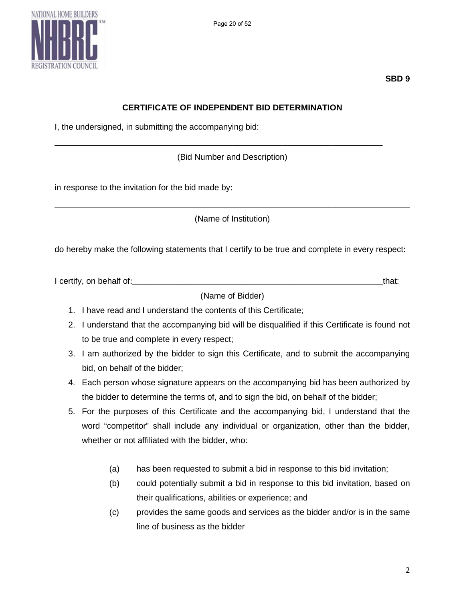



## **CERTIFICATE OF INDEPENDENT BID DETERMINATION**

I, the undersigned, in submitting the accompanying bid:

(Bid Number and Description)

\_\_\_\_\_\_\_\_\_\_\_\_\_\_\_\_\_\_\_\_\_\_\_\_\_\_\_\_\_\_\_\_\_\_\_\_\_\_\_\_\_\_\_\_\_\_\_\_\_\_\_\_\_\_\_\_\_\_\_\_\_\_\_\_\_\_\_\_\_\_\_\_

in response to the invitation for the bid made by:

\_\_\_\_\_\_\_\_\_\_\_\_\_\_\_\_\_\_\_\_\_\_\_\_\_\_\_\_\_\_\_\_\_\_\_\_\_\_\_\_\_\_\_\_\_\_\_\_\_\_\_\_\_\_\_\_\_\_\_\_\_\_\_\_\_\_\_\_\_\_\_\_\_\_\_\_\_\_ (Name of Institution)

do hereby make the following statements that I certify to be true and complete in every respect:

I certify, on behalf of: the same of the same of the same of the same of the same of the same of the same of the same of the same of the same of the same of the same of the same of the same of the same of the same of the s

(Name of Bidder)

- 1. I have read and I understand the contents of this Certificate;
- 2. I understand that the accompanying bid will be disqualified if this Certificate is found not to be true and complete in every respect;
- 3. I am authorized by the bidder to sign this Certificate, and to submit the accompanying bid, on behalf of the bidder;
- 4. Each person whose signature appears on the accompanying bid has been authorized by the bidder to determine the terms of, and to sign the bid, on behalf of the bidder;
- 5. For the purposes of this Certificate and the accompanying bid, I understand that the word "competitor" shall include any individual or organization, other than the bidder, whether or not affiliated with the bidder, who:
	- (a) has been requested to submit a bid in response to this bid invitation;
	- (b) could potentially submit a bid in response to this bid invitation, based on their qualifications, abilities or experience; and
	- (c) provides the same goods and services as the bidder and/or is in the same line of business as the bidder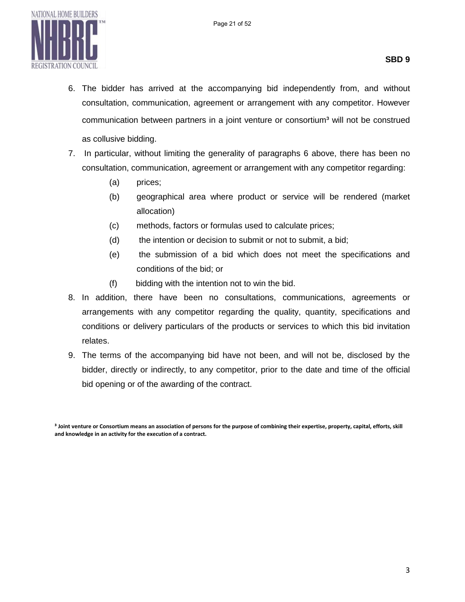

- 6. The bidder has arrived at the accompanying bid independently from, and without consultation, communication, agreement or arrangement with any competitor. However communication between partners in a joint venture or consortium<sup>3</sup> will not be construed as collusive bidding.
- 7. In particular, without limiting the generality of paragraphs 6 above, there has been no consultation, communication, agreement or arrangement with any competitor regarding:
	- (a) prices;
	- (b) geographical area where product or service will be rendered (market allocation)
	- (c) methods, factors or formulas used to calculate prices;
	- (d) the intention or decision to submit or not to submit, a bid;
	- (e) the submission of a bid which does not meet the specifications and conditions of the bid; or
	- (f) bidding with the intention not to win the bid.
- 8. In addition, there have been no consultations, communications, agreements or arrangements with any competitor regarding the quality, quantity, specifications and conditions or delivery particulars of the products or services to which this bid invitation relates.
- 9. The terms of the accompanying bid have not been, and will not be, disclosed by the bidder, directly or indirectly, to any competitor, prior to the date and time of the official bid opening or of the awarding of the contract.

**³ Joint venture or Consortium means an association of persons for the purpose of combining their expertise, property, capital, efforts, skill and knowledge in an activity for the execution of a contract.**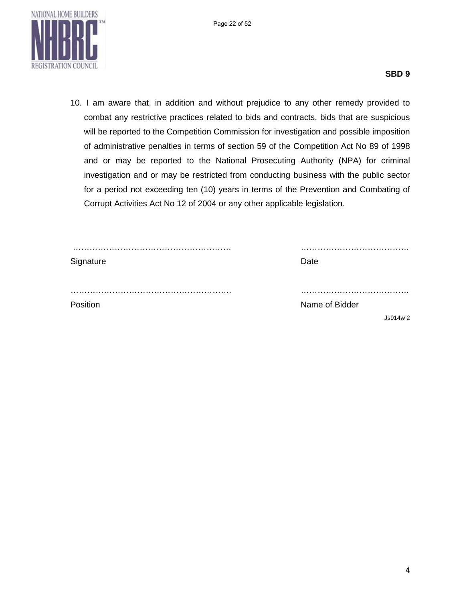

10. I am aware that, in addition and without prejudice to any other remedy provided to combat any restrictive practices related to bids and contracts, bids that are suspicious will be reported to the Competition Commission for investigation and possible imposition of administrative penalties in terms of section 59 of the Competition Act No 89 of 1998 and or may be reported to the National Prosecuting Authority (NPA) for criminal investigation and or may be restricted from conducting business with the public sector for a period not exceeding ten (10) years in terms of the Prevention and Combating of Corrupt Activities Act No 12 of 2004 or any other applicable legislation.

| Signature | Date           |
|-----------|----------------|
|           |                |
| Position  | Name of Bidder |
|           | Js914w2        |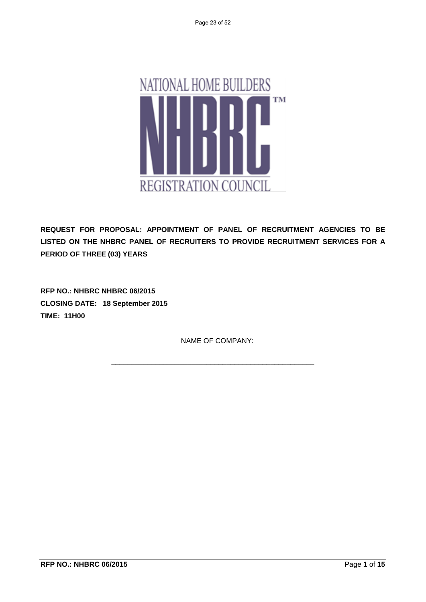

**REQUEST FOR PROPOSAL: APPOINTMENT OF PANEL OF RECRUITMENT AGENCIES TO BE LISTED ON THE NHBRC PANEL OF RECRUITERS TO PROVIDE RECRUITMENT SERVICES FOR A PERIOD OF THREE (03) YEARS** 

**RFP NO.: NHBRC NHBRC 06/2015 CLOSING DATE: 18 September 2015 TIME: 11H00** 

NAME OF COMPANY:

\_\_\_\_\_\_\_\_\_\_\_\_\_\_\_\_\_\_\_\_\_\_\_\_\_\_\_\_\_\_\_\_\_\_\_\_\_\_\_\_\_\_\_\_\_\_\_\_\_\_\_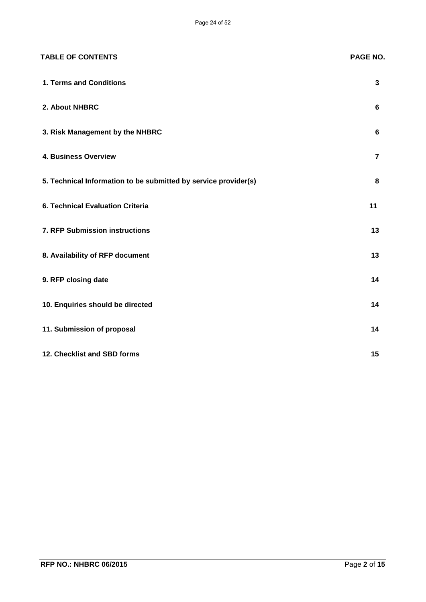| <b>TABLE OF CONTENTS</b>                                        | PAGE NO.       |
|-----------------------------------------------------------------|----------------|
| 1. Terms and Conditions                                         | $\mathbf{3}$   |
| 2. About NHBRC                                                  | 6              |
| 3. Risk Management by the NHBRC                                 | 6              |
| 4. Business Overview                                            | $\overline{7}$ |
| 5. Technical Information to be submitted by service provider(s) | 8              |
| 6. Technical Evaluation Criteria                                | 11             |
| 7. RFP Submission instructions                                  | 13             |
| 8. Availability of RFP document                                 | 13             |
| 9. RFP closing date                                             | 14             |
| 10. Enquiries should be directed                                | 14             |
| 11. Submission of proposal                                      | 14             |
| 12. Checklist and SBD forms                                     | 15             |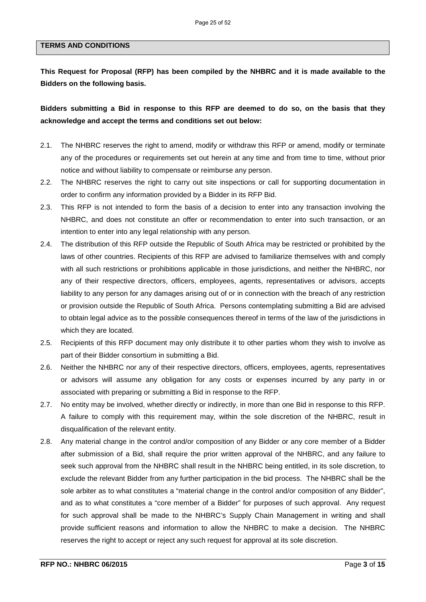#### **TERMS AND CONDITIONS**

**This Request for Proposal (RFP) has been compiled by the NHBRC and it is made available to the Bidders on the following basis.**

**Bidders submitting a Bid in response to this RFP are deemed to do so, on the basis that they acknowledge and accept the terms and conditions set out below:**

- 2.1. The NHBRC reserves the right to amend, modify or withdraw this RFP or amend, modify or terminate any of the procedures or requirements set out herein at any time and from time to time, without prior notice and without liability to compensate or reimburse any person.
- 2.2. The NHBRC reserves the right to carry out site inspections or call for supporting documentation in order to confirm any information provided by a Bidder in its RFP Bid.
- 2.3. This RFP is not intended to form the basis of a decision to enter into any transaction involving the NHBRC, and does not constitute an offer or recommendation to enter into such transaction, or an intention to enter into any legal relationship with any person.
- 2.4. The distribution of this RFP outside the Republic of South Africa may be restricted or prohibited by the laws of other countries. Recipients of this RFP are advised to familiarize themselves with and comply with all such restrictions or prohibitions applicable in those jurisdictions, and neither the NHBRC, nor any of their respective directors, officers, employees, agents, representatives or advisors, accepts liability to any person for any damages arising out of or in connection with the breach of any restriction or provision outside the Republic of South Africa. Persons contemplating submitting a Bid are advised to obtain legal advice as to the possible consequences thereof in terms of the law of the jurisdictions in which they are located.
- 2.5. Recipients of this RFP document may only distribute it to other parties whom they wish to involve as part of their Bidder consortium in submitting a Bid.
- 2.6. Neither the NHBRC nor any of their respective directors, officers, employees, agents, representatives or advisors will assume any obligation for any costs or expenses incurred by any party in or associated with preparing or submitting a Bid in response to the RFP.
- 2.7. No entity may be involved, whether directly or indirectly, in more than one Bid in response to this RFP. A failure to comply with this requirement may, within the sole discretion of the NHBRC, result in disqualification of the relevant entity.
- 2.8. Any material change in the control and/or composition of any Bidder or any core member of a Bidder after submission of a Bid, shall require the prior written approval of the NHBRC, and any failure to seek such approval from the NHBRC shall result in the NHBRC being entitled, in its sole discretion, to exclude the relevant Bidder from any further participation in the bid process. The NHBRC shall be the sole arbiter as to what constitutes a "material change in the control and/or composition of any Bidder", and as to what constitutes a "core member of a Bidder" for purposes of such approval. Any request for such approval shall be made to the NHBRC's Supply Chain Management in writing and shall provide sufficient reasons and information to allow the NHBRC to make a decision. The NHBRC reserves the right to accept or reject any such request for approval at its sole discretion.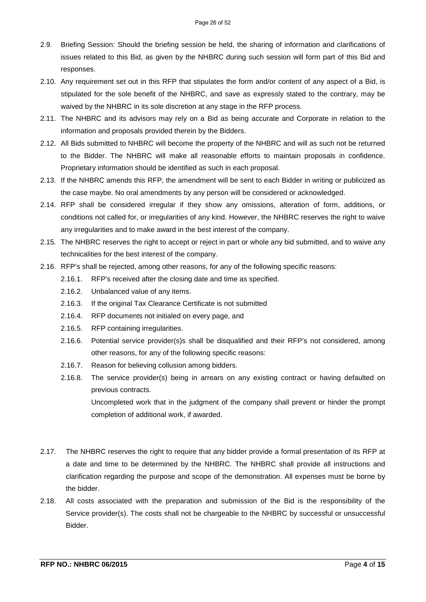- 2.9. Briefing Session: Should the briefing session be held, the sharing of information and clarifications of issues related to this Bid, as given by the NHBRC during such session will form part of this Bid and responses.
- 2.10. Any requirement set out in this RFP that stipulates the form and/or content of any aspect of a Bid, is stipulated for the sole benefit of the NHBRC, and save as expressly stated to the contrary, may be waived by the NHBRC in its sole discretion at any stage in the RFP process.
- 2.11. The NHBRC and its advisors may rely on a Bid as being accurate and Corporate in relation to the information and proposals provided therein by the Bidders.
- 2.12. All Bids submitted to NHBRC will become the property of the NHBRC and will as such not be returned to the Bidder. The NHBRC will make all reasonable efforts to maintain proposals in confidence. Proprietary information should be identified as such in each proposal.
- 2.13. If the NHBRC amends this RFP, the amendment will be sent to each Bidder in writing or publicized as the case maybe. No oral amendments by any person will be considered or acknowledged.
- 2.14. RFP shall be considered irregular if they show any omissions, alteration of form, additions, or conditions not called for, or irregularities of any kind. However, the NHBRC reserves the right to waive any irregularities and to make award in the best interest of the company.
- 2.15. The NHBRC reserves the right to accept or reject in part or whole any bid submitted, and to waive any technicalities for the best interest of the company.
- 2.16. RFP's shall be rejected, among other reasons, for any of the following specific reasons:
	- 2.16.1. RFP's received after the closing date and time as specified.
	- 2.16.2. Unbalanced value of any items.
	- 2.16.3. If the original Tax Clearance Certificate is not submitted
	- 2.16.4. RFP documents not initialed on every page, and
	- 2.16.5. RFP containing irregularities.
	- 2.16.6. Potential service provider(s)s shall be disqualified and their RFP's not considered, among other reasons, for any of the following specific reasons:
	- 2.16.7. Reason for believing collusion among bidders.
	- 2.16.8. The service provider(s) being in arrears on any existing contract or having defaulted on previous contracts.

Uncompleted work that in the judgment of the company shall prevent or hinder the prompt completion of additional work, if awarded.

- 2.17. The NHBRC reserves the right to require that any bidder provide a formal presentation of its RFP at a date and time to be determined by the NHBRC. The NHBRC shall provide all instructions and clarification regarding the purpose and scope of the demonstration. All expenses must be borne by the bidder.
- 2.18. All costs associated with the preparation and submission of the Bid is the responsibility of the Service provider(s). The costs shall not be chargeable to the NHBRC by successful or unsuccessful Bidder.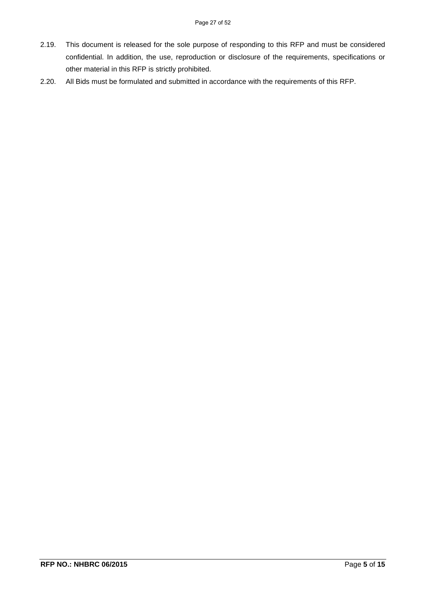- 2.19. This document is released for the sole purpose of responding to this RFP and must be considered confidential. In addition, the use, reproduction or disclosure of the requirements, specifications or other material in this RFP is strictly prohibited.
- 2.20. All Bids must be formulated and submitted in accordance with the requirements of this RFP.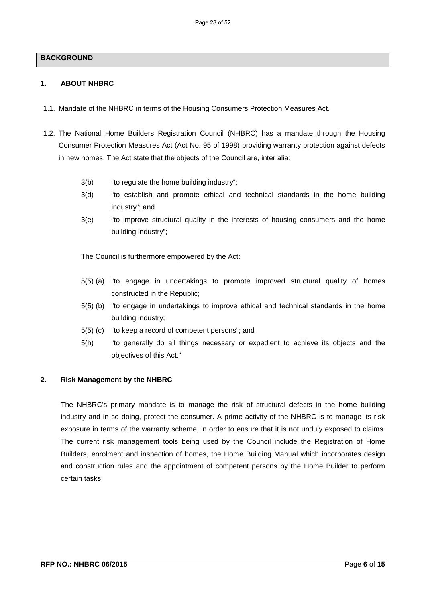#### **BACKGROUND**

#### **1. ABOUT NHBRC**

- 1.1. Mandate of the NHBRC in terms of the Housing Consumers Protection Measures Act.
- 1.2. The National Home Builders Registration Council (NHBRC) has a mandate through the Housing Consumer Protection Measures Act (Act No. 95 of 1998) providing warranty protection against defects in new homes. The Act state that the objects of the Council are, inter alia:
	- 3(b) "to regulate the home building industry";
	- 3(d) "to establish and promote ethical and technical standards in the home building industry"; and
	- 3(e) "to improve structural quality in the interests of housing consumers and the home building industry";

The Council is furthermore empowered by the Act:

- 5(5) (a) "to engage in undertakings to promote improved structural quality of homes constructed in the Republic;
- 5(5) (b) "to engage in undertakings to improve ethical and technical standards in the home building industry;
- 5(5) (c) "to keep a record of competent persons"; and
- 5(h) "to generally do all things necessary or expedient to achieve its objects and the objectives of this Act."

#### **2. Risk Management by the NHBRC**

The NHBRC's primary mandate is to manage the risk of structural defects in the home building industry and in so doing, protect the consumer. A prime activity of the NHBRC is to manage its risk exposure in terms of the warranty scheme, in order to ensure that it is not unduly exposed to claims. The current risk management tools being used by the Council include the Registration of Home Builders, enrolment and inspection of homes, the Home Building Manual which incorporates design and construction rules and the appointment of competent persons by the Home Builder to perform certain tasks.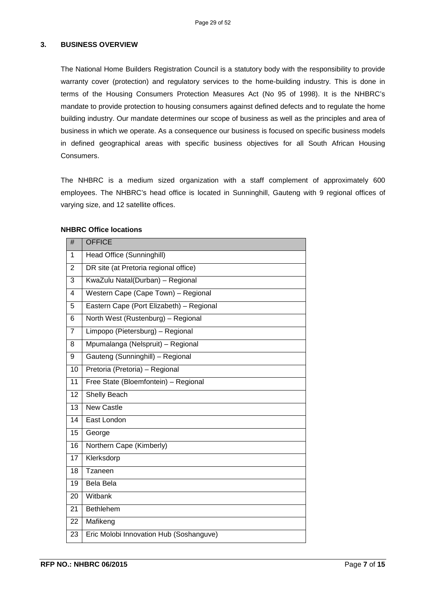#### **3. BUSINESS OVERVIEW**

The National Home Builders Registration Council is a statutory body with the responsibility to provide warranty cover (protection) and regulatory services to the home-building industry. This is done in terms of the Housing Consumers Protection Measures Act (No 95 of 1998). It is the NHBRC's mandate to provide protection to housing consumers against defined defects and to regulate the home building industry. Our mandate determines our scope of business as well as the principles and area of business in which we operate. As a consequence our business is focused on specific business models in defined geographical areas with specific business objectives for all South African Housing Consumers.

The NHBRC is a medium sized organization with a staff complement of approximately 600 employees. The NHBRC's head office is located in Sunninghill, Gauteng with 9 regional offices of varying size, and 12 satellite offices.

| #                       | <b>OFFICE</b>                            |
|-------------------------|------------------------------------------|
| 1                       | Head Office (Sunninghill)                |
| $\overline{2}$          | DR site (at Pretoria regional office)    |
| 3                       | KwaZulu Natal(Durban) - Regional         |
| $\overline{\mathbf{4}}$ | Western Cape (Cape Town) - Regional      |
| 5                       | Eastern Cape (Port Elizabeth) - Regional |
| 6                       | North West (Rustenburg) - Regional       |
| $\overline{7}$          | Limpopo (Pietersburg) - Regional         |
| 8                       | Mpumalanga (Nelspruit) - Regional        |
| 9                       | Gauteng (Sunninghill) - Regional         |
| 10                      | Pretoria (Pretoria) - Regional           |
| 11                      | Free State (Bloemfontein) - Regional     |
| 12                      | Shelly Beach                             |
| 13                      | <b>New Castle</b>                        |
| 14                      | East London                              |
| 15                      | George                                   |
| 16                      | Northern Cape (Kimberly)                 |
| $\overline{17}$         | Klerksdorp                               |
| 18                      | <b>Tzaneen</b>                           |
| 19                      | <b>Bela Bela</b>                         |
| 20                      | Witbank                                  |
| 21                      | Bethlehem                                |
| 22                      | Mafikeng                                 |
| 23                      | Eric Molobi Innovation Hub (Soshanguve)  |

#### **NHBRC Office locations**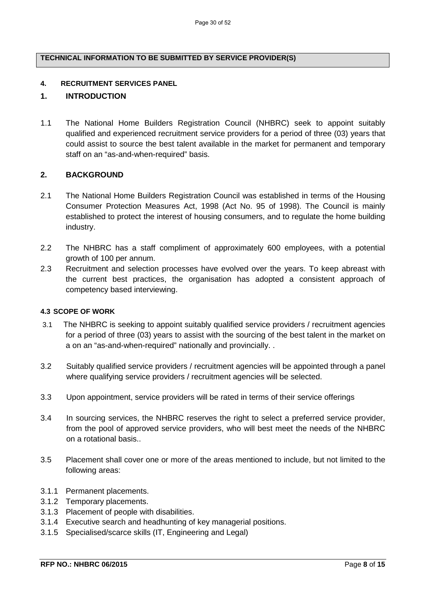#### **TECHNICAL INFORMATION TO BE SUBMITTED BY SERVICE PROVIDER(S)**

#### **4. RECRUITMENT SERVICES PANEL**

#### **1. INTRODUCTION**

1.1 The National Home Builders Registration Council (NHBRC) seek to appoint suitably qualified and experienced recruitment service providers for a period of three (03) years that could assist to source the best talent available in the market for permanent and temporary staff on an "as-and-when-required" basis.

#### **2. BACKGROUND**

- 2.1 The National Home Builders Registration Council was established in terms of the Housing Consumer Protection Measures Act, 1998 (Act No. 95 of 1998). The Council is mainly established to protect the interest of housing consumers, and to regulate the home building industry.
- 2.2 The NHBRC has a staff compliment of approximately 600 employees, with a potential growth of 100 per annum.
- 2.3 Recruitment and selection processes have evolved over the years. To keep abreast with the current best practices, the organisation has adopted a consistent approach of competency based interviewing.

#### **4.3 SCOPE OF WORK**

- 3.1 The NHBRC is seeking to appoint suitably qualified service providers / recruitment agencies for a period of three (03) years to assist with the sourcing of the best talent in the market on a on an "as-and-when-required" nationally and provincially. .
- 3.2 Suitably qualified service providers / recruitment agencies will be appointed through a panel where qualifying service providers / recruitment agencies will be selected.
- 3.3 Upon appointment, service providers will be rated in terms of their service offerings
- 3.4 In sourcing services, the NHBRC reserves the right to select a preferred service provider, from the pool of approved service providers, who will best meet the needs of the NHBRC on a rotational basis..
- 3.5 Placement shall cover one or more of the areas mentioned to include, but not limited to the following areas:
- 3.1.1 Permanent placements.
- 3.1.2 Temporary placements.
- 3.1.3 Placement of people with disabilities.
- 3.1.4 Executive search and headhunting of key managerial positions.
- 3.1.5 Specialised/scarce skills (IT, Engineering and Legal)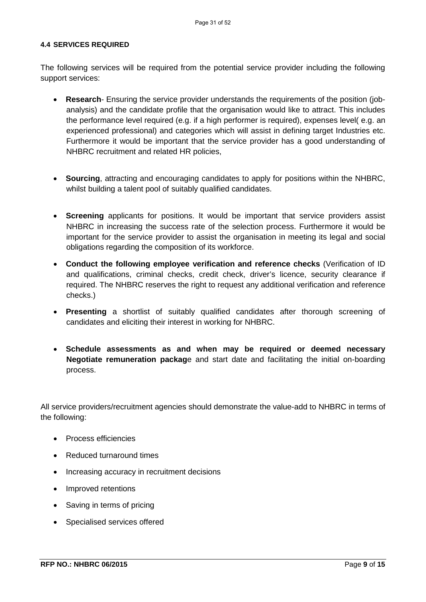#### **4.4 SERVICES REQUIRED**

The following services will be required from the potential service provider including the following support services:

- **Research** Ensuring the service provider understands the requirements of the position (jobanalysis) and the candidate profile that the organisation would like to attract. This includes the performance level required (e.g. if a high performer is required), expenses level( e.g. an experienced professional) and categories which will assist in defining target Industries etc. Furthermore it would be important that the service provider has a good understanding of NHBRC recruitment and related HR policies,
- **Sourcing**, attracting and encouraging candidates to apply for positions within the NHBRC, whilst building a talent pool of suitably qualified candidates.
- **Screening** applicants for positions. It would be important that service providers assist NHBRC in increasing the success rate of the selection process. Furthermore it would be important for the service provider to assist the organisation in meeting its legal and social obligations regarding the composition of its workforce.
- **Conduct the following employee verification and reference checks** (Verification of ID and qualifications, criminal checks, credit check, driver's licence, security clearance if required. The NHBRC reserves the right to request any additional verification and reference checks.)
- **Presenting** a shortlist of suitably qualified candidates after thorough screening of candidates and eliciting their interest in working for NHBRC.
- **Schedule assessments as and when may be required or deemed necessary Negotiate remuneration packag**e and start date and facilitating the initial on-boarding process.

All service providers/recruitment agencies should demonstrate the value-add to NHBRC in terms of the following:

- Process efficiencies
- Reduced turnaround times
- Increasing accuracy in recruitment decisions
- Improved retentions
- Saving in terms of pricing
- Specialised services offered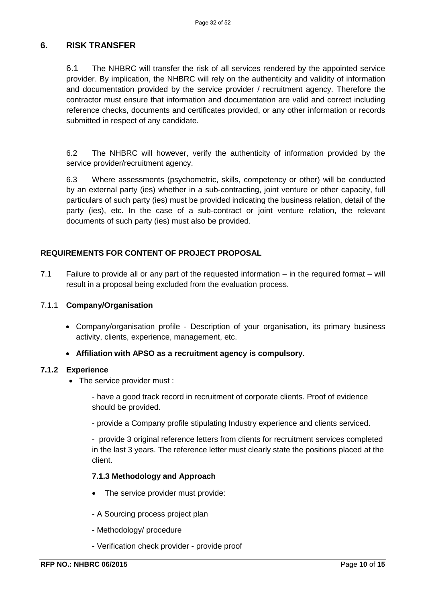## **6. RISK TRANSFER**

6.1 The NHBRC will transfer the risk of all services rendered by the appointed service provider. By implication, the NHBRC will rely on the authenticity and validity of information and documentation provided by the service provider / recruitment agency. Therefore the contractor must ensure that information and documentation are valid and correct including reference checks, documents and certificates provided, or any other information or records submitted in respect of any candidate.

6.2 The NHBRC will however, verify the authenticity of information provided by the service provider/recruitment agency.

6.3 Where assessments (psychometric, skills, competency or other) will be conducted by an external party (ies) whether in a sub-contracting, joint venture or other capacity, full particulars of such party (ies) must be provided indicating the business relation, detail of the party (ies), etc. In the case of a sub-contract or joint venture relation, the relevant documents of such party (ies) must also be provided.

### **REQUIREMENTS FOR CONTENT OF PROJECT PROPOSAL**

7.1 Failure to provide all or any part of the requested information – in the required format – will result in a proposal being excluded from the evaluation process.

#### 7.1.1 **Company/Organisation**

• Company/organisation profile - Description of your organisation, its primary business activity, clients, experience, management, etc.

#### • **Affiliation with APSO as a recruitment agency is compulsory.**

#### **7.1.2 Experience**

• The service provider must :

- have a good track record in recruitment of corporate clients. Proof of evidence should be provided.

- provide a Company profile stipulating Industry experience and clients serviced.

- provide 3 original reference letters from clients for recruitment services completed in the last 3 years. The reference letter must clearly state the positions placed at the client.

#### **7.1.3 Methodology and Approach**

- The service provider must provide:
- A Sourcing process project plan
- Methodology/ procedure
- Verification check provider provide proof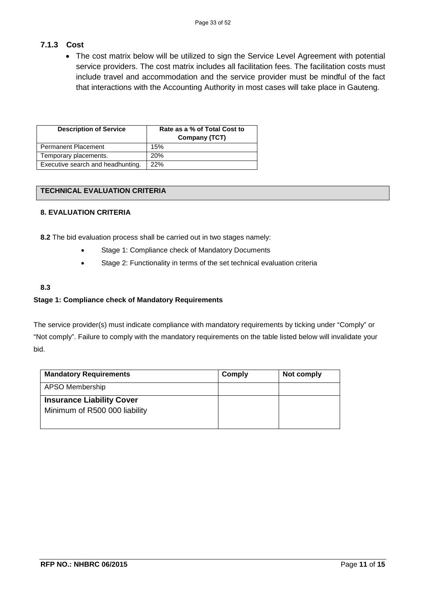## **7.1.3 Cost**

• The cost matrix below will be utilized to sign the Service Level Agreement with potential service providers. The cost matrix includes all facilitation fees. The facilitation costs must include travel and accommodation and the service provider must be mindful of the fact that interactions with the Accounting Authority in most cases will take place in Gauteng.

| <b>Description of Service</b>     | Rate as a % of Total Cost to<br>Company (TCT) |
|-----------------------------------|-----------------------------------------------|
| <b>Permanent Placement</b>        | 15%                                           |
| Temporary placements.             | <b>20%</b>                                    |
| Executive search and headhunting. | 22%                                           |

#### **TECHNICAL EVALUATION CRITERIA**

#### **8. EVALUATION CRITERIA**

**8.2** The bid evaluation process shall be carried out in two stages namely:

- Stage 1: Compliance check of Mandatory Documents
- Stage 2: Functionality in terms of the set technical evaluation criteria

#### **8.3**

#### **Stage 1: Compliance check of Mandatory Requirements**

 The service provider(s) must indicate compliance with mandatory requirements by ticking under "Comply" or "Not comply". Failure to comply with the mandatory requirements on the table listed below will invalidate your bid.

| <b>Mandatory Requirements</b>                                     | Comply | Not comply |
|-------------------------------------------------------------------|--------|------------|
| APSO Membership                                                   |        |            |
| <b>Insurance Liability Cover</b><br>Minimum of R500 000 liability |        |            |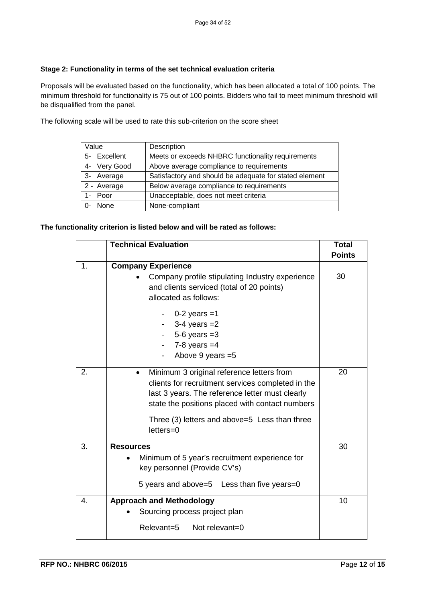#### **Stage 2: Functionality in terms of the set technical evaluation criteria**

Proposals will be evaluated based on the functionality, which has been allocated a total of 100 points. The minimum threshold for functionality is 75 out of 100 points. Bidders who fail to meet minimum threshold will be disqualified from the panel.

The following scale will be used to rate this sub-criterion on the score sheet

| Value        | Description                                            |
|--------------|--------------------------------------------------------|
| 5- Excellent | Meets or exceeds NHBRC functionality requirements      |
| 4- Very Good | Above average compliance to requirements               |
| 3- Average   | Satisfactory and should be adequate for stated element |
| 2 - Average  | Below average compliance to requirements               |
| 1- Poor      | Unacceptable, does not meet criteria                   |
| None         | None-compliant                                         |

#### **The functionality criterion is listed below and will be rated as follows:**

|    | <b>Technical Evaluation</b>                                                                                                                                                                                                                                                         | <b>Total</b><br><b>Points</b> |
|----|-------------------------------------------------------------------------------------------------------------------------------------------------------------------------------------------------------------------------------------------------------------------------------------|-------------------------------|
| 1. | <b>Company Experience</b><br>Company profile stipulating Industry experience<br>and clients serviced (total of 20 points)<br>allocated as follows:                                                                                                                                  | 30                            |
|    | $0-2$ years =1<br>$3-4$ years $=2$<br>$5-6$ years $=3$<br>$7-8$ years $=4$<br>Above 9 years = 5                                                                                                                                                                                     |                               |
| 2. | Minimum 3 original reference letters from<br>$\bullet$<br>clients for recruitment services completed in the<br>last 3 years. The reference letter must clearly<br>state the positions placed with contact numbers<br>Three (3) letters and above=5 Less than three<br>$letters = 0$ | 20                            |
| 3. | <b>Resources</b><br>Minimum of 5 year's recruitment experience for<br>key personnel (Provide CV's)<br>5 years and above=5 Less than five years=0                                                                                                                                    | 30                            |
| 4. | <b>Approach and Methodology</b><br>Sourcing process project plan<br>Relevant=5<br>Not relevant=0                                                                                                                                                                                    | 10                            |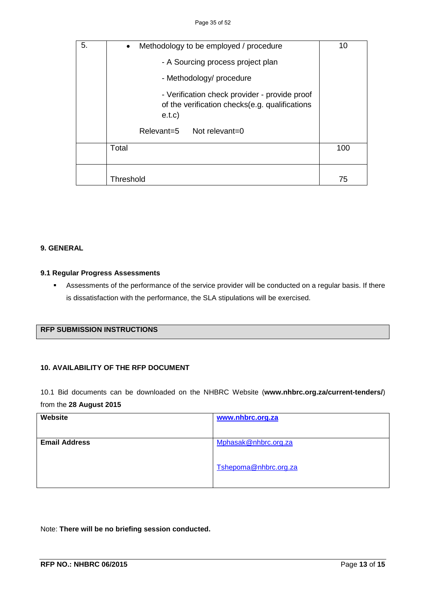| 5. | Methodology to be employed / procedure<br>$\bullet$                                                       | 10  |
|----|-----------------------------------------------------------------------------------------------------------|-----|
|    | - A Sourcing process project plan                                                                         |     |
|    | - Methodology/ procedure                                                                                  |     |
|    | - Verification check provider - provide proof<br>of the verification checks(e.g. qualifications<br>e.t.c) |     |
|    | Relevant=5 Not relevant=0                                                                                 |     |
|    | Total                                                                                                     | 100 |
|    | Threshold                                                                                                 | 75  |

#### **9. GENERAL**

#### **9.1 Regular Progress Assessments**

 Assessments of the performance of the service provider will be conducted on a regular basis. If there is dissatisfaction with the performance, the SLA stipulations will be exercised.

#### **RFP SUBMISSION INSTRUCTIONS**

#### **10. AVAILABILITY OF THE RFP DOCUMENT**

10.1 Bid documents can be downloaded on the NHBRC Website (**www.nhbrc.org.za/current-tenders/**) from the **28 August 2015**

| Website              | www.nhbrc.org.za      |
|----------------------|-----------------------|
| <b>Email Address</b> | Mphasak@nhbrc.org.za  |
|                      | Tshepoma@nhbrc.org.za |

Note: **There will be no briefing session conducted.**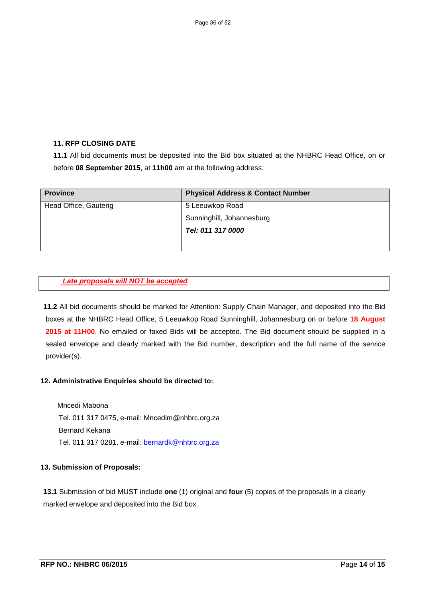#### **11. RFP CLOSING DATE**

**11.1** All bid documents must be deposited into the Bid box situated at the NHBRC Head Office, on or before **08 September 2015**, at **11h00** am at the following address:

| <b>Province</b>      | <b>Physical Address &amp; Contact Number</b> |
|----------------------|----------------------------------------------|
| Head Office, Gauteng | 5 Leeuwkop Road                              |
|                      | Sunninghill, Johannesburg                    |
|                      | Tel: 011 317 0000                            |
|                      |                                              |

#### *Late proposals will NOT be accepted*

**11.2** All bid documents should be marked for Attention: Supply Chain Manager, and deposited into the Bid boxes at the NHBRC Head Office, 5 Leeuwkop Road Sunninghill, Johannesburg on or before **18 August 2015 at 11H00**. No emailed or faxed Bids will be accepted. The Bid document should be supplied in a sealed envelope and clearly marked with the Bid number, description and the full name of the service provider(s).

#### **12. Administrative Enquiries should be directed to:**

 Mncedi Mabona Tel. 011 317 0475, e-mail: Mncedim@nhbrc.org.za Bernard Kekana Tel. 011 317 0281, e-mail: [bernardk@nhbrc.org.za](mailto:bernardk@nhbrc.org.za)

#### **13. Submission of Proposals:**

**13.1** Submission of bid MUST include **one** (1) original and **four** (5) copies of the proposals in a clearly marked envelope and deposited into the Bid box.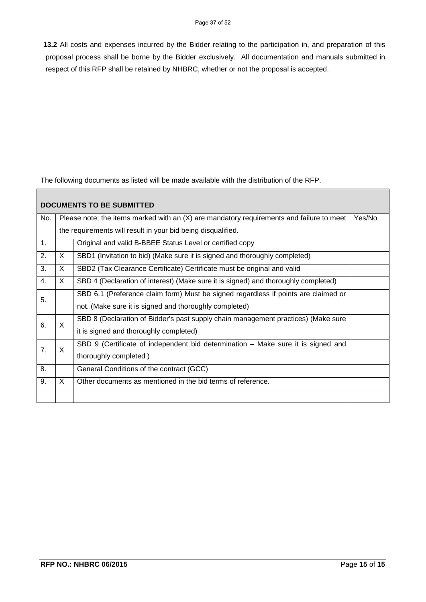**13.2** All costs and expenses incurred by the Bidder relating to the participation in, and preparation of this proposal process shall be borne by the Bidder exclusively. All documentation and manuals submitted in respect of this RFP shall be retained by NHBRC, whether or not the proposal is accepted.

The following documents as listed will be made available with the distribution of the RFP.

| <b>DOCUMENTS TO BE SUBMITTED</b> |                                                                                                      |                                                                                    |  |  |  |
|----------------------------------|------------------------------------------------------------------------------------------------------|------------------------------------------------------------------------------------|--|--|--|
| No.                              | Please note; the items marked with an $(X)$ are mandatory requirements and failure to meet<br>Yes/No |                                                                                    |  |  |  |
|                                  | the requirements will result in your bid being disqualified.                                         |                                                                                    |  |  |  |
| 1.                               |                                                                                                      | Original and valid B-BBEE Status Level or certified copy                           |  |  |  |
| 2.                               | $\mathsf{X}$                                                                                         | SBD1 (Invitation to bid) (Make sure it is signed and thoroughly completed)         |  |  |  |
| 3.                               | X.                                                                                                   | SBD2 (Tax Clearance Certificate) Certificate must be original and valid            |  |  |  |
| 4.                               | X.                                                                                                   | SBD 4 (Declaration of interest) (Make sure it is signed) and thoroughly completed) |  |  |  |
| 5.                               |                                                                                                      | SBD 6.1 (Preference claim form) Must be signed regardless if points are claimed or |  |  |  |
|                                  |                                                                                                      | not. (Make sure it is signed and thoroughly completed)                             |  |  |  |
| 6.                               | X                                                                                                    | SBD 8 (Declaration of Bidder's past supply chain management practices) (Make sure  |  |  |  |
|                                  |                                                                                                      | it is signed and thoroughly completed)                                             |  |  |  |
| 7 <sub>1</sub>                   | $\times$                                                                                             | SBD 9 (Certificate of independent bid determination – Make sure it is signed and   |  |  |  |
|                                  |                                                                                                      | thoroughly completed)                                                              |  |  |  |
| 8.                               |                                                                                                      | General Conditions of the contract (GCC)                                           |  |  |  |
| 9.                               | X                                                                                                    | Other documents as mentioned in the bid terms of reference.                        |  |  |  |
|                                  |                                                                                                      |                                                                                    |  |  |  |

 $\Gamma$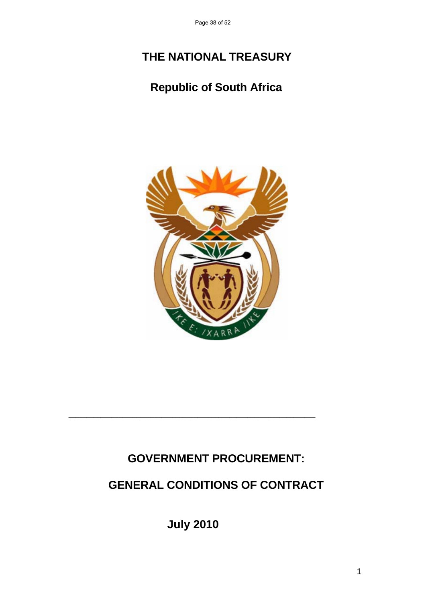Page 38 of 52

# **THE NATIONAL TREASURY**

## **Republic of South Africa**



## **GOVERNMENT PROCUREMENT:**

## **GENERAL CONDITIONS OF CONTRACT**

**July 2010**

**\_\_\_\_\_\_\_\_\_\_\_\_\_\_\_\_\_\_\_\_\_\_\_\_\_\_\_\_\_\_\_\_\_\_\_\_\_\_\_\_\_\_\_\_\_\_\_\_\_\_\_\_\_\_\_\_\_\_\_\_\_\_\_\_\_\_\_\_\_**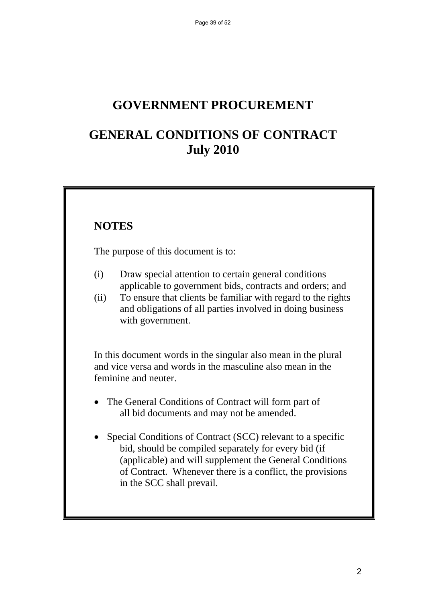## **GOVERNMENT PROCUREMENT**

## **GENERAL CONDITIONS OF CONTRACT July 2010**

## **NOTES**

The purpose of this document is to:

- (i) Draw special attention to certain general conditions applicable to government bids, contracts and orders; and
- (ii) To ensure that clients be familiar with regard to the rights and obligations of all parties involved in doing business with government.

 In this document words in the singular also mean in the plural and vice versa and words in the masculine also mean in the feminine and neuter.

- The General Conditions of Contract will form part of all bid documents and may not be amended.
- Special Conditions of Contract (SCC) relevant to a specific bid, should be compiled separately for every bid (if (applicable) and will supplement the General Conditions of Contract. Whenever there is a conflict, the provisions in the SCC shall prevail.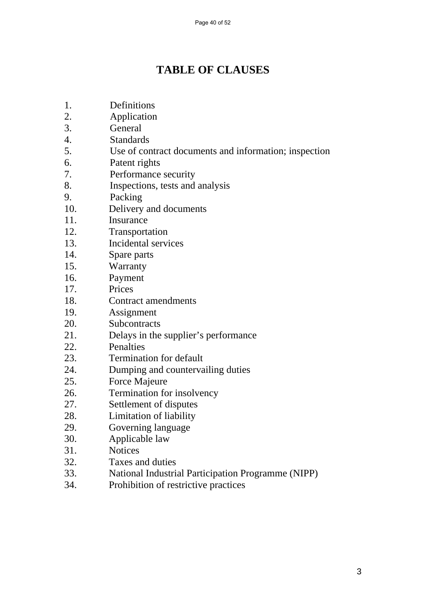## **TABLE OF CLAUSES**

- 1. Definitions
- 2. Application
- 3. General
- 4. Standards
- 5. Use of contract documents and information; inspection
- 6. Patent rights
- 7. Performance security
- 8. Inspections, tests and analysis
- 9. Packing
- 10. Delivery and documents
- 11. Insurance
- 12. Transportation
- 13. Incidental services
- 14. Spare parts
- 15. Warranty
- 16. Payment
- 17. Prices
- 18. Contract amendments
- 19. Assignment
- 20. Subcontracts
- 21. Delays in the supplier's performance
- 22. Penalties
- 23. Termination for default
- 24. Dumping and countervailing duties
- 25. Force Majeure
- 26. Termination for insolvency
- 27. Settlement of disputes
- 28. Limitation of liability
- 29. Governing language
- 30. Applicable law
- 31. Notices
- 32. Taxes and duties
- 33. National Industrial Participation Programme (NIPP)
- 34. Prohibition of restrictive practices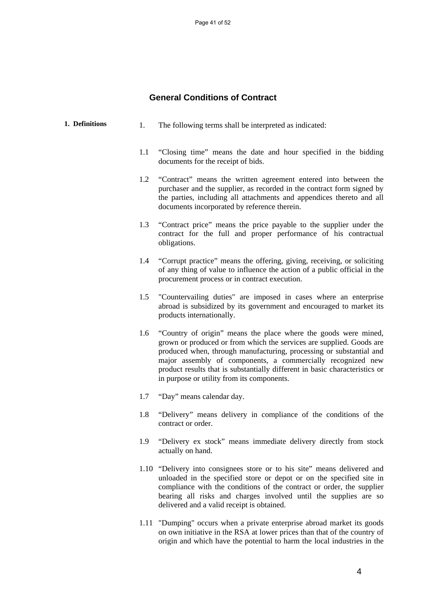### **General Conditions of Contract**

| 1. Definitions | 1.  | The following terms shall be interpreted as indicated:                                                                                                                                                                                                                                                                                                                                                     |
|----------------|-----|------------------------------------------------------------------------------------------------------------------------------------------------------------------------------------------------------------------------------------------------------------------------------------------------------------------------------------------------------------------------------------------------------------|
|                | 1.1 | "Closing time" means the date and hour specified in the bidding<br>documents for the receipt of bids.                                                                                                                                                                                                                                                                                                      |
|                | 1.2 | "Contract" means the written agreement entered into between the<br>purchaser and the supplier, as recorded in the contract form signed by<br>the parties, including all attachments and appendices thereto and all<br>documents incorporated by reference therein.                                                                                                                                         |
|                | 1.3 | "Contract price" means the price payable to the supplier under the<br>contract for the full and proper performance of his contractual<br>obligations.                                                                                                                                                                                                                                                      |
|                | 1.4 | "Corrupt practice" means the offering, giving, receiving, or soliciting<br>of any thing of value to influence the action of a public official in the<br>procurement process or in contract execution.                                                                                                                                                                                                      |
|                | 1.5 | "Countervailing duties" are imposed in cases where an enterprise<br>abroad is subsidized by its government and encouraged to market its<br>products internationally.                                                                                                                                                                                                                                       |
|                | 1.6 | "Country of origin" means the place where the goods were mined,<br>grown or produced or from which the services are supplied. Goods are<br>produced when, through manufacturing, processing or substantial and<br>major assembly of components, a commercially recognized new<br>product results that is substantially different in basic characteristics or<br>in purpose or utility from its components. |
|                | 1.7 | "Day" means calendar day.                                                                                                                                                                                                                                                                                                                                                                                  |
|                | 1.8 | "Delivery" means delivery in compliance of the conditions of the<br>contract or order.                                                                                                                                                                                                                                                                                                                     |
|                | 1.9 | "Delivery ex stock" means immediate delivery directly from stock<br>actually on hand.                                                                                                                                                                                                                                                                                                                      |
|                |     | 1.10 "Delivery into consignees store or to his site" means delivered and<br>unloaded in the specified store or depot or on the specified site in<br>compliance with the conditions of the contract or order, the supplier<br>bearing all risks and charges involved until the supplies are so<br>delivered and a valid receipt is obtained.                                                                |

1.11 "Dumping" occurs when a private enterprise abroad market its goods on own initiative in the RSA at lower prices than that of the country of origin and which have the potential to harm the local industries in the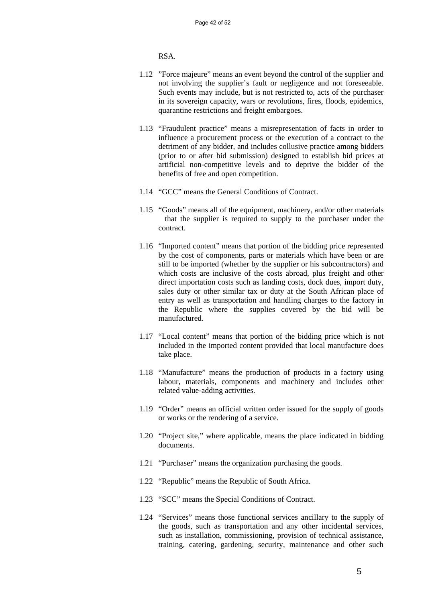RSA.

- 1.12 "Force majeure" means an event beyond the control of the supplier and not involving the supplier's fault or negligence and not foreseeable. Such events may include, but is not restricted to, acts of the purchaser in its sovereign capacity, wars or revolutions, fires, floods, epidemics, quarantine restrictions and freight embargoes.
- 1.13 "Fraudulent practice" means a misrepresentation of facts in order to influence a procurement process or the execution of a contract to the detriment of any bidder, and includes collusive practice among bidders (prior to or after bid submission) designed to establish bid prices at artificial non-competitive levels and to deprive the bidder of the benefits of free and open competition.
- 1.14 "GCC" means the General Conditions of Contract.
- 1.15 "Goods" means all of the equipment, machinery, and/or other materials that the supplier is required to supply to the purchaser under the contract.
- 1.16 "Imported content" means that portion of the bidding price represented by the cost of components, parts or materials which have been or are still to be imported (whether by the supplier or his subcontractors) and which costs are inclusive of the costs abroad, plus freight and other direct importation costs such as landing costs, dock dues, import duty, sales duty or other similar tax or duty at the South African place of entry as well as transportation and handling charges to the factory in the Republic where the supplies covered by the bid will be manufactured.
- 1.17 "Local content" means that portion of the bidding price which is not included in the imported content provided that local manufacture does take place.
- 1.18 "Manufacture" means the production of products in a factory using labour, materials, components and machinery and includes other related value-adding activities.
- 1.19 "Order" means an official written order issued for the supply of goods or works or the rendering of a service.
- 1.20 "Project site," where applicable, means the place indicated in bidding documents.
- 1.21 "Purchaser" means the organization purchasing the goods.
- 1.22 "Republic" means the Republic of South Africa.
- 1.23 "SCC" means the Special Conditions of Contract.
- 1.24 "Services" means those functional services ancillary to the supply of the goods, such as transportation and any other incidental services, such as installation, commissioning, provision of technical assistance, training, catering, gardening, security, maintenance and other such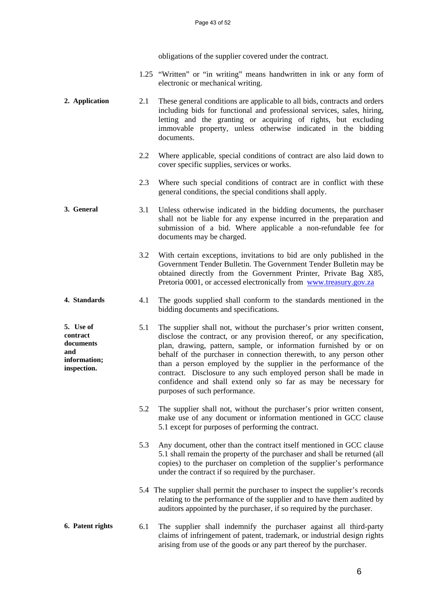obligations of the supplier covered under the contract.

- 1.25 "Written" or "in writing" means handwritten in ink or any form of electronic or mechanical writing.
- **2. Application** 2.1 These general conditions are applicable to all bids, contracts and orders including bids for functional and professional services, sales, hiring, letting and the granting or acquiring of rights, but excluding immovable property, unless otherwise indicated in the bidding documents.
	- 2.2 Where applicable, special conditions of contract are also laid down to cover specific supplies, services or works.
	- 2.3 Where such special conditions of contract are in conflict with these general conditions, the special conditions shall apply.
- **3. General** 3.1 Unless otherwise indicated in the bidding documents, the purchaser shall not be liable for any expense incurred in the preparation and submission of a bid. Where applicable a non-refundable fee for documents may be charged.
	- 3.2 With certain exceptions, invitations to bid are only published in the Government Tender Bulletin. The Government Tender Bulletin may be obtained directly from the Government Printer, Private Bag X85, Pretoria 0001, or accessed electronically from www.treasury.gov.za
- **4. Standards** 4.1 The goods supplied shall conform to the standards mentioned in the bidding documents and specifications.

**and** 

- **5. Use of contract documents information; inspection.**  5.1 The supplier shall not, without the purchaser's prior written consent, disclose the contract, or any provision thereof, or any specification, plan, drawing, pattern, sample, or information furnished by or on behalf of the purchaser in connection therewith, to any person other than a person employed by the supplier in the performance of the contract. Disclosure to any such employed person shall be made in confidence and shall extend only so far as may be necessary for purposes of such performance.
	- 5.2 The supplier shall not, without the purchaser's prior written consent, make use of any document or information mentioned in GCC clause 5.1 except for purposes of performing the contract.
	- 5.3 Any document, other than the contract itself mentioned in GCC clause 5.1 shall remain the property of the purchaser and shall be returned (all copies) to the purchaser on completion of the supplier's performance under the contract if so required by the purchaser.
	- 5.4 The supplier shall permit the purchaser to inspect the supplier's records relating to the performance of the supplier and to have them audited by auditors appointed by the purchaser, if so required by the purchaser.

#### **6. Patent rights** 6.1 The supplier shall indemnify the purchaser against all third-party claims of infringement of patent, trademark, or industrial design rights arising from use of the goods or any part thereof by the purchaser.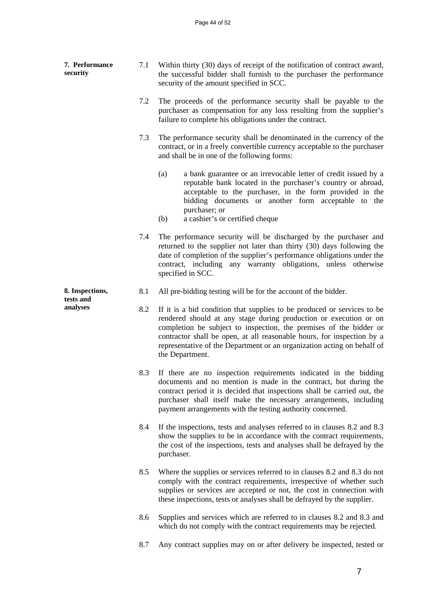| 7. Performance<br>security   | 7.1 | Within thirty (30) days of receipt of the notification of contract award,<br>the successful bidder shall furnish to the purchaser the performance<br>security of the amount specified in SCC.                                                                                                                                                                                              |
|------------------------------|-----|--------------------------------------------------------------------------------------------------------------------------------------------------------------------------------------------------------------------------------------------------------------------------------------------------------------------------------------------------------------------------------------------|
|                              | 7.2 | The proceeds of the performance security shall be payable to the<br>purchaser as compensation for any loss resulting from the supplier's<br>failure to complete his obligations under the contract.                                                                                                                                                                                        |
|                              | 7.3 | The performance security shall be denominated in the currency of the<br>contract, or in a freely convertible currency acceptable to the purchaser<br>and shall be in one of the following forms:                                                                                                                                                                                           |
|                              |     | (a)<br>a bank guarantee or an irrevocable letter of credit issued by a<br>reputable bank located in the purchaser's country or abroad,<br>acceptable to the purchaser, in the form provided in the<br>bidding documents or another form acceptable to the<br>purchaser; or<br>a cashier's or certified cheque<br>(b)                                                                       |
|                              | 7.4 | The performance security will be discharged by the purchaser and<br>returned to the supplier not later than thirty (30) days following the<br>date of completion of the supplier's performance obligations under the<br>contract, including any warranty obligations, unless otherwise<br>specified in SCC.                                                                                |
| 8. Inspections,<br>tests and | 8.1 | All pre-bidding testing will be for the account of the bidder.                                                                                                                                                                                                                                                                                                                             |
| analyses                     | 8.2 | If it is a bid condition that supplies to be produced or services to be<br>rendered should at any stage during production or execution or on<br>completion be subject to inspection, the premises of the bidder or<br>contractor shall be open, at all reasonable hours, for inspection by a<br>representative of the Department or an organization acting on behalf of<br>the Department. |
|                              | 8.3 | If there are no inspection requirements indicated in the bidding<br>documents and no mention is made in the contract, but during the<br>contract period it is decided that inspections shall be carried out, the<br>purchaser shall itself make the necessary arrangements, including<br>payment arrangements with the testing authority concerned.                                        |
|                              | 8.4 | If the inspections, tests and analyses referred to in clauses 8.2 and 8.3<br>show the supplies to be in accordance with the contract requirements,<br>the cost of the inspections, tests and analyses shall be defrayed by the<br>purchaser.                                                                                                                                               |
|                              | 8.5 | Where the supplies or services referred to in clauses 8.2 and 8.3 do not<br>comply with the contract requirements, irrespective of whether such<br>supplies or services are accepted or not, the cost in connection with<br>these inspections, tests or analyses shall be defrayed by the supplier.                                                                                        |
|                              | 8.6 | Supplies and services which are referred to in clauses 8.2 and 8.3 and<br>which do not comply with the contract requirements may be rejected.                                                                                                                                                                                                                                              |
|                              | 8.7 | Any contract supplies may on or after delivery be inspected, tested or                                                                                                                                                                                                                                                                                                                     |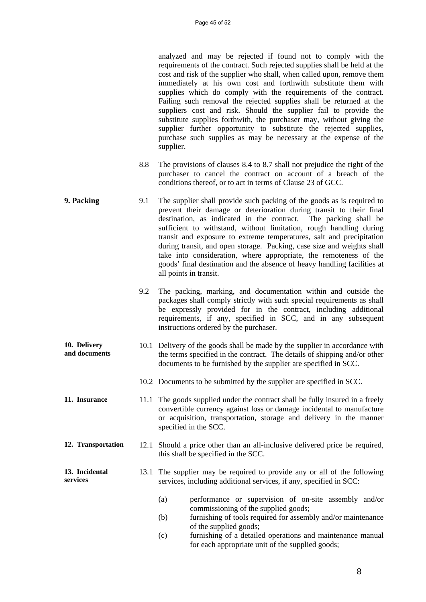analyzed and may be rejected if found not to comply with the requirements of the contract. Such rejected supplies shall be held at the cost and risk of the supplier who shall, when called upon, remove them immediately at his own cost and forthwith substitute them with supplies which do comply with the requirements of the contract. Failing such removal the rejected supplies shall be returned at the suppliers cost and risk. Should the supplier fail to provide the substitute supplies forthwith, the purchaser may, without giving the supplier further opportunity to substitute the rejected supplies, purchase such supplies as may be necessary at the expense of the supplier.

- 8.8 The provisions of clauses 8.4 to 8.7 shall not prejudice the right of the purchaser to cancel the contract on account of a breach of the conditions thereof, or to act in terms of Clause 23 of GCC.
- **9. Packing** 9.1 The supplier shall provide such packing of the goods as is required to prevent their damage or deterioration during transit to their final destination, as indicated in the contract. The packing shall be sufficient to withstand, without limitation, rough handling during transit and exposure to extreme temperatures, salt and precipitation during transit, and open storage. Packing, case size and weights shall take into consideration, where appropriate, the remoteness of the goods' final destination and the absence of heavy handling facilities at all points in transit.
	- 9.2 The packing, marking, and documentation within and outside the packages shall comply strictly with such special requirements as shall be expressly provided for in the contract, including additional requirements, if any, specified in SCC, and in any subsequent instructions ordered by the purchaser.
- **10. Delivery and documents**  10.1 Delivery of the goods shall be made by the supplier in accordance with the terms specified in the contract. The details of shipping and/or other documents to be furnished by the supplier are specified in SCC.
	- 10.2 Documents to be submitted by the supplier are specified in SCC.
- **11. Insurance** 11.1 The goods supplied under the contract shall be fully insured in a freely convertible currency against loss or damage incidental to manufacture or acquisition, transportation, storage and delivery in the manner specified in the SCC.
- **12. Transportation** 12.1 Should a price other than an all-inclusive delivered price be required, this shall be specified in the SCC.

#### **13. Incidental services**  13.1 The supplier may be required to provide any or all of the following services, including additional services, if any, specified in SCC:

- (a) performance or supervision of on-site assembly and/or commissioning of the supplied goods;
- (b) furnishing of tools required for assembly and/or maintenance of the supplied goods;
- (c) furnishing of a detailed operations and maintenance manual for each appropriate unit of the supplied goods;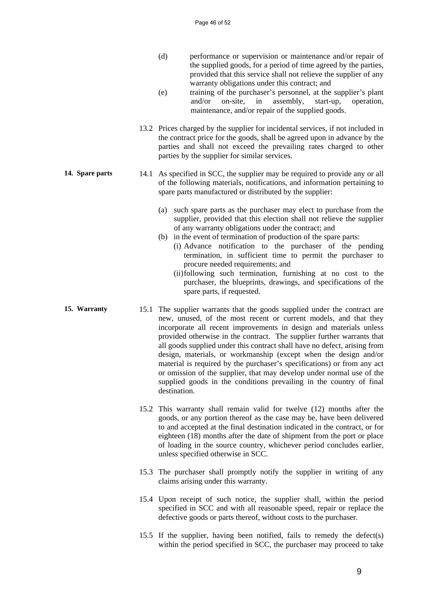- (d) performance or supervision or maintenance and/or repair of the supplied goods, for a period of time agreed by the parties, provided that this service shall not relieve the supplier of any warranty obligations under this contract; and
- (e) training of the purchaser's personnel, at the supplier's plant and/or on-site, in assembly, start-up, operation, maintenance, and/or repair of the supplied goods.
- 13.2 Prices charged by the supplier for incidental services, if not included in the contract price for the goods, shall be agreed upon in advance by the parties and shall not exceed the prevailing rates charged to other parties by the supplier for similar services.
- **14. Spare parts** 14.1 As specified in SCC, the supplier may be required to provide any or all of the following materials, notifications, and information pertaining to spare parts manufactured or distributed by the supplier:
	- (a) such spare parts as the purchaser may elect to purchase from the supplier, provided that this election shall not relieve the supplier of any warranty obligations under the contract; and
	- (b) in the event of termination of production of the spare parts: (i) Advance notification to the purchaser of the pending
		- termination, in sufficient time to permit the purchaser to procure needed requirements; and
		- (ii) following such termination, furnishing at no cost to the purchaser, the blueprints, drawings, and specifications of the spare parts, if requested.
- **15. Warranty** 15.1 The supplier warrants that the goods supplied under the contract are new, unused, of the most recent or current models, and that they incorporate all recent improvements in design and materials unless provided otherwise in the contract. The supplier further warrants that all goods supplied under this contract shall have no defect, arising from design, materials, or workmanship (except when the design and/or material is required by the purchaser's specifications) or from any act or omission of the supplier, that may develop under normal use of the supplied goods in the conditions prevailing in the country of final destination.
	- 15.2 This warranty shall remain valid for twelve (12) months after the goods, or any portion thereof as the case may be, have been delivered to and accepted at the final destination indicated in the contract, or for eighteen (18) months after the date of shipment from the port or place of loading in the source country, whichever period concludes earlier, unless specified otherwise in SCC.
	- 15.3 The purchaser shall promptly notify the supplier in writing of any claims arising under this warranty.
	- 15.4 Upon receipt of such notice, the supplier shall, within the period specified in SCC and with all reasonable speed, repair or replace the defective goods or parts thereof, without costs to the purchaser.
	- 15.5 If the supplier, having been notified, fails to remedy the defect(s) within the period specified in SCC, the purchaser may proceed to take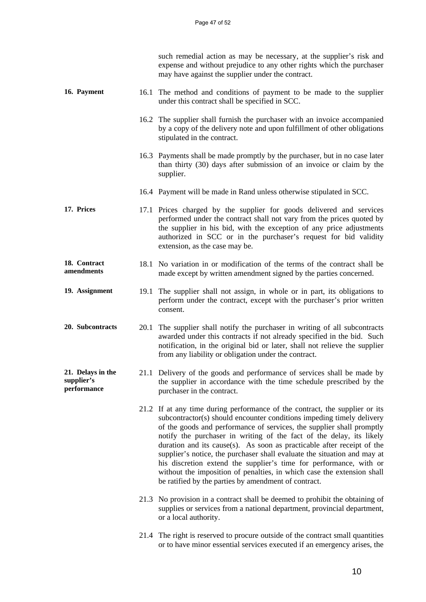|                                                |      | such remedial action as may be necessary, at the supplier's risk and<br>expense and without prejudice to any other rights which the purchaser<br>may have against the supplier under the contract.                                                                                                                                                                                                                                                                                                                                                                                                                                                                  |
|------------------------------------------------|------|---------------------------------------------------------------------------------------------------------------------------------------------------------------------------------------------------------------------------------------------------------------------------------------------------------------------------------------------------------------------------------------------------------------------------------------------------------------------------------------------------------------------------------------------------------------------------------------------------------------------------------------------------------------------|
| 16. Payment                                    | 16.1 | The method and conditions of payment to be made to the supplier<br>under this contract shall be specified in SCC.                                                                                                                                                                                                                                                                                                                                                                                                                                                                                                                                                   |
|                                                |      | 16.2 The supplier shall furnish the purchaser with an invoice accompanied<br>by a copy of the delivery note and upon fulfillment of other obligations<br>stipulated in the contract.                                                                                                                                                                                                                                                                                                                                                                                                                                                                                |
|                                                |      | 16.3 Payments shall be made promptly by the purchaser, but in no case later<br>than thirty (30) days after submission of an invoice or claim by the<br>supplier.                                                                                                                                                                                                                                                                                                                                                                                                                                                                                                    |
|                                                |      | 16.4 Payment will be made in Rand unless otherwise stipulated in SCC.                                                                                                                                                                                                                                                                                                                                                                                                                                                                                                                                                                                               |
| 17. Prices                                     |      | 17.1 Prices charged by the supplier for goods delivered and services<br>performed under the contract shall not vary from the prices quoted by<br>the supplier in his bid, with the exception of any price adjustments<br>authorized in SCC or in the purchaser's request for bid validity<br>extension, as the case may be.                                                                                                                                                                                                                                                                                                                                         |
| 18. Contract<br>amendments                     |      | 18.1 No variation in or modification of the terms of the contract shall be<br>made except by written amendment signed by the parties concerned.                                                                                                                                                                                                                                                                                                                                                                                                                                                                                                                     |
| 19. Assignment                                 | 19.1 | The supplier shall not assign, in whole or in part, its obligations to<br>perform under the contract, except with the purchaser's prior written<br>consent.                                                                                                                                                                                                                                                                                                                                                                                                                                                                                                         |
| 20. Subcontracts                               | 20.1 | The supplier shall notify the purchaser in writing of all subcontracts<br>awarded under this contracts if not already specified in the bid. Such<br>notification, in the original bid or later, shall not relieve the supplier<br>from any liability or obligation under the contract.                                                                                                                                                                                                                                                                                                                                                                              |
| 21. Delays in the<br>supplier's<br>performance |      | 21.1 Delivery of the goods and performance of services shall be made by<br>the supplier in accordance with the time schedule prescribed by the<br>purchaser in the contract.                                                                                                                                                                                                                                                                                                                                                                                                                                                                                        |
|                                                |      | 21.2 If at any time during performance of the contract, the supplier or its<br>subcontractor(s) should encounter conditions impeding timely delivery<br>of the goods and performance of services, the supplier shall promptly<br>notify the purchaser in writing of the fact of the delay, its likely<br>duration and its cause(s). As soon as practicable after receipt of the<br>supplier's notice, the purchaser shall evaluate the situation and may at<br>his discretion extend the supplier's time for performance, with or<br>without the imposition of penalties, in which case the extension shall<br>be ratified by the parties by amendment of contract. |
|                                                |      | 21.3 No provision in a contract shall be deemed to prohibit the obtaining of<br>supplies or services from a national department, provincial department,<br>or a local authority.                                                                                                                                                                                                                                                                                                                                                                                                                                                                                    |
|                                                |      | 21.4 The right is reserved to procure outside of the contract small quantities<br>or to have minor essential services executed if an emergency arises, the                                                                                                                                                                                                                                                                                                                                                                                                                                                                                                          |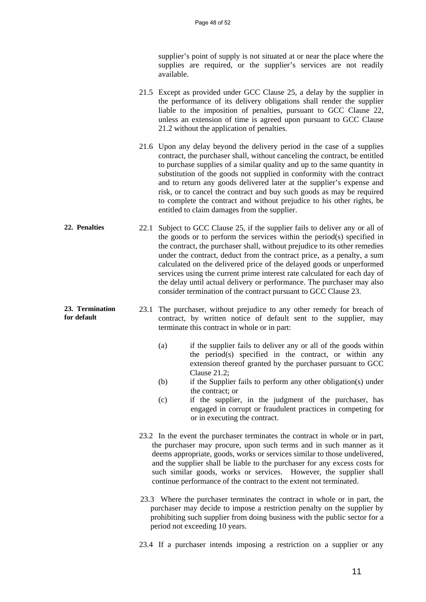supplier's point of supply is not situated at or near the place where the supplies are required, or the supplier's services are not readily available.

- 21.5 Except as provided under GCC Clause 25, a delay by the supplier in the performance of its delivery obligations shall render the supplier liable to the imposition of penalties, pursuant to GCC Clause 22, unless an extension of time is agreed upon pursuant to GCC Clause 21.2 without the application of penalties.
- 21.6 Upon any delay beyond the delivery period in the case of a supplies contract, the purchaser shall, without canceling the contract, be entitled to purchase supplies of a similar quality and up to the same quantity in substitution of the goods not supplied in conformity with the contract and to return any goods delivered later at the supplier's expense and risk, or to cancel the contract and buy such goods as may be required to complete the contract and without prejudice to his other rights, be entitled to claim damages from the supplier.
- **22. Penalties** 22.1 Subject to GCC Clause 25, if the supplier fails to deliver any or all of the goods or to perform the services within the period(s) specified in the contract, the purchaser shall, without prejudice to its other remedies under the contract, deduct from the contract price, as a penalty, a sum calculated on the delivered price of the delayed goods or unperformed services using the current prime interest rate calculated for each day of the delay until actual delivery or performance. The purchaser may also consider termination of the contract pursuant to GCC Clause 23.
- **23. Termination for default**  23.1 The purchaser, without prejudice to any other remedy for breach of contract, by written notice of default sent to the supplier, may terminate this contract in whole or in part:
	- (a) if the supplier fails to deliver any or all of the goods within the period(s) specified in the contract, or within any extension thereof granted by the purchaser pursuant to GCC Clause 21.2;
	- (b) if the Supplier fails to perform any other obligation(s) under the contract; or
	- (c) if the supplier, in the judgment of the purchaser, has engaged in corrupt or fraudulent practices in competing for or in executing the contract.
	- 23.2 In the event the purchaser terminates the contract in whole or in part, the purchaser may procure, upon such terms and in such manner as it deems appropriate, goods, works or services similar to those undelivered, and the supplier shall be liable to the purchaser for any excess costs for such similar goods, works or services. However, the supplier shall continue performance of the contract to the extent not terminated.
	- 23.3 Where the purchaser terminates the contract in whole or in part, the purchaser may decide to impose a restriction penalty on the supplier by prohibiting such supplier from doing business with the public sector for a period not exceeding 10 years.

23.4 If a purchaser intends imposing a restriction on a supplier or any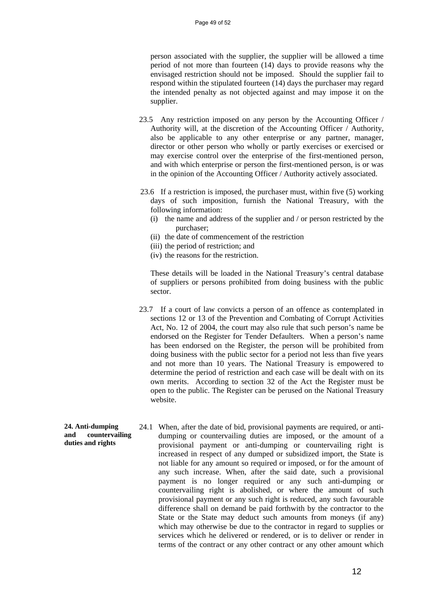person associated with the supplier, the supplier will be allowed a time period of not more than fourteen (14) days to provide reasons why the envisaged restriction should not be imposed. Should the supplier fail to respond within the stipulated fourteen (14) days the purchaser may regard the intended penalty as not objected against and may impose it on the supplier.

- 23.5 Any restriction imposed on any person by the Accounting Officer / Authority will, at the discretion of the Accounting Officer / Authority, also be applicable to any other enterprise or any partner, manager, director or other person who wholly or partly exercises or exercised or may exercise control over the enterprise of the first-mentioned person, and with which enterprise or person the first-mentioned person, is or was in the opinion of the Accounting Officer / Authority actively associated.
- 23.6 If a restriction is imposed, the purchaser must, within five (5) working days of such imposition, furnish the National Treasury, with the following information:
	- (i) the name and address of the supplier and / or person restricted by the purchaser;
	- (ii) the date of commencement of the restriction
	- (iii) the period of restriction; and
	- (iv) the reasons for the restriction.

These details will be loaded in the National Treasury's central database of suppliers or persons prohibited from doing business with the public sector.

- 23.7 If a court of law convicts a person of an offence as contemplated in sections 12 or 13 of the Prevention and Combating of Corrupt Activities Act, No. 12 of 2004, the court may also rule that such person's name be endorsed on the Register for Tender Defaulters. When a person's name has been endorsed on the Register, the person will be prohibited from doing business with the public sector for a period not less than five years and not more than 10 years. The National Treasury is empowered to determine the period of restriction and each case will be dealt with on its own merits. According to section 32 of the Act the Register must be open to the public. The Register can be perused on the National Treasury website.
- **24. Anti-dumping and countervailing duties and rights**  24.1 When, after the date of bid, provisional payments are required, or antidumping or countervailing duties are imposed, or the amount of a provisional payment or anti-dumping or countervailing right is increased in respect of any dumped or subsidized import, the State is not liable for any amount so required or imposed, or for the amount of any such increase. When, after the said date, such a provisional payment is no longer required or any such anti-dumping or countervailing right is abolished, or where the amount of such provisional payment or any such right is reduced, any such favourable difference shall on demand be paid forthwith by the contractor to the State or the State may deduct such amounts from moneys (if any) which may otherwise be due to the contractor in regard to supplies or services which he delivered or rendered, or is to deliver or render in terms of the contract or any other contract or any other amount which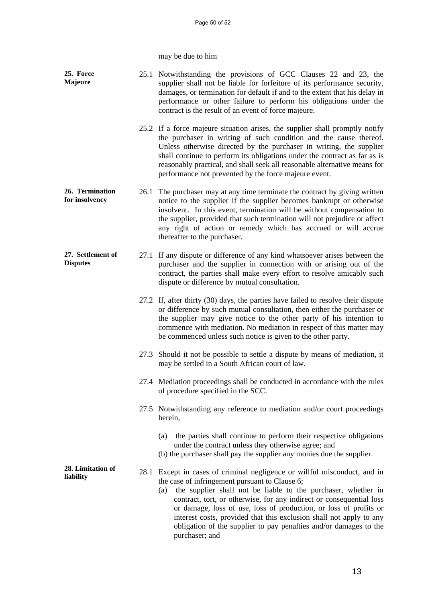may be due to him

| 25. Force<br><b>Majeure</b>          |      | 25.1 Notwithstanding the provisions of GCC Clauses 22 and 23, the<br>supplier shall not be liable for forfeiture of its performance security,<br>damages, or termination for default if and to the extent that his delay in<br>performance or other failure to perform his obligations under the<br>contract is the result of an event of force majeure.                                                                                                                                                       |
|--------------------------------------|------|----------------------------------------------------------------------------------------------------------------------------------------------------------------------------------------------------------------------------------------------------------------------------------------------------------------------------------------------------------------------------------------------------------------------------------------------------------------------------------------------------------------|
|                                      |      | 25.2 If a force majeure situation arises, the supplier shall promptly notify<br>the purchaser in writing of such condition and the cause thereof.<br>Unless otherwise directed by the purchaser in writing, the supplier<br>shall continue to perform its obligations under the contract as far as is<br>reasonably practical, and shall seek all reasonable alternative means for<br>performance not prevented by the force majeure event.                                                                    |
| 26. Termination<br>for insolvency    | 26.1 | The purchaser may at any time terminate the contract by giving written<br>notice to the supplier if the supplier becomes bankrupt or otherwise<br>insolvent. In this event, termination will be without compensation to<br>the supplier, provided that such termination will not prejudice or affect<br>any right of action or remedy which has accrued or will accrue<br>thereafter to the purchaser.                                                                                                         |
| 27. Settlement of<br><b>Disputes</b> |      | 27.1 If any dispute or difference of any kind whatsoever arises between the<br>purchaser and the supplier in connection with or arising out of the<br>contract, the parties shall make every effort to resolve amicably such<br>dispute or difference by mutual consultation.                                                                                                                                                                                                                                  |
|                                      |      | 27.2 If, after thirty (30) days, the parties have failed to resolve their dispute<br>or difference by such mutual consultation, then either the purchaser or<br>the supplier may give notice to the other party of his intention to<br>commence with mediation. No mediation in respect of this matter may<br>be commenced unless such notice is given to the other party.                                                                                                                                     |
|                                      |      | 27.3 Should it not be possible to settle a dispute by means of mediation, it<br>may be settled in a South African court of law.                                                                                                                                                                                                                                                                                                                                                                                |
|                                      |      | 27.4 Mediation proceedings shall be conducted in accordance with the rules<br>of procedure specified in the SCC.                                                                                                                                                                                                                                                                                                                                                                                               |
|                                      |      | 27.5 Notwithstanding any reference to mediation and/or court proceedings<br>herein,                                                                                                                                                                                                                                                                                                                                                                                                                            |
|                                      |      | the parties shall continue to perform their respective obligations<br>(a)<br>under the contract unless they otherwise agree; and<br>(b) the purchaser shall pay the supplier any monies due the supplier.                                                                                                                                                                                                                                                                                                      |
| 28. Limitation of<br>liability       |      | 28.1 Except in cases of criminal negligence or willful misconduct, and in<br>the case of infringement pursuant to Clause 6;<br>the supplier shall not be liable to the purchaser, whether in<br>(a)<br>contract, tort, or otherwise, for any indirect or consequential loss<br>or damage, loss of use, loss of production, or loss of profits or<br>interest costs, provided that this exclusion shall not apply to any<br>obligation of the supplier to pay penalties and/or damages to the<br>purchaser; and |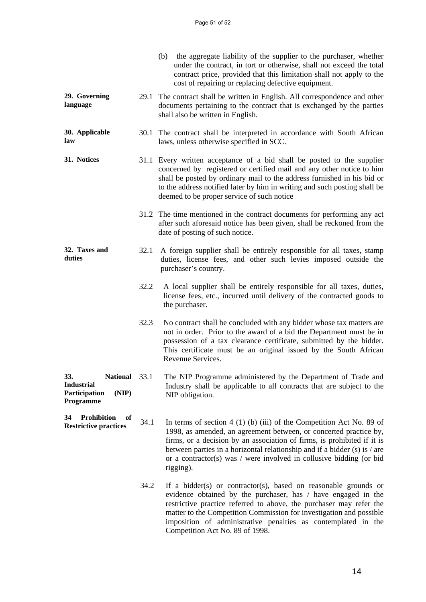|                                                                                  |      | (b) the aggregate liability of the supplier to the purchaser, whether<br>under the contract, in tort or otherwise, shall not exceed the total<br>contract price, provided that this limitation shall not apply to the<br>cost of repairing or replacing defective equipment.                                                                                                              |
|----------------------------------------------------------------------------------|------|-------------------------------------------------------------------------------------------------------------------------------------------------------------------------------------------------------------------------------------------------------------------------------------------------------------------------------------------------------------------------------------------|
| 29. Governing<br>language                                                        |      | 29.1 The contract shall be written in English. All correspondence and other<br>documents pertaining to the contract that is exchanged by the parties<br>shall also be written in English.                                                                                                                                                                                                 |
| 30. Applicable<br>law                                                            |      | 30.1 The contract shall be interpreted in accordance with South African<br>laws, unless otherwise specified in SCC.                                                                                                                                                                                                                                                                       |
| 31. Notices                                                                      |      | 31.1 Every written acceptance of a bid shall be posted to the supplier<br>concerned by registered or certified mail and any other notice to him<br>shall be posted by ordinary mail to the address furnished in his bid or<br>to the address notified later by him in writing and such posting shall be<br>deemed to be proper service of such notice                                     |
|                                                                                  |      | 31.2 The time mentioned in the contract documents for performing any act<br>after such aforesaid notice has been given, shall be reckoned from the<br>date of posting of such notice.                                                                                                                                                                                                     |
| 32. Taxes and<br>duties                                                          | 32.1 | A foreign supplier shall be entirely responsible for all taxes, stamp<br>duties, license fees, and other such levies imposed outside the<br>purchaser's country.                                                                                                                                                                                                                          |
|                                                                                  | 32.2 | A local supplier shall be entirely responsible for all taxes, duties,<br>license fees, etc., incurred until delivery of the contracted goods to<br>the purchaser.                                                                                                                                                                                                                         |
|                                                                                  | 32.3 | No contract shall be concluded with any bidder whose tax matters are<br>not in order. Prior to the award of a bid the Department must be in<br>possession of a tax clearance certificate, submitted by the bidder.<br>This certificate must be an original issued by the South African<br>Revenue Services.                                                                               |
| 33.<br>National 33.1<br><b>Industrial</b><br>Participation<br>(NIP)<br>Programme |      | The NIP Programme administered by the Department of Trade and<br>Industry shall be applicable to all contracts that are subject to the<br>NIP obligation.                                                                                                                                                                                                                                 |
| <b>Prohibition</b><br>34<br>of<br><b>Restrictive practices</b>                   | 34.1 | In terms of section 4 (1) (b) (iii) of the Competition Act No. 89 of<br>1998, as amended, an agreement between, or concerted practice by,<br>firms, or a decision by an association of firms, is prohibited if it is<br>between parties in a horizontal relationship and if a bidder $(s)$ is / are<br>or a contractor(s) was $/$ were involved in collusive bidding (or bid<br>rigging). |
|                                                                                  | 34.2 | If a bidder(s) or contractor(s), based on reasonable grounds or<br>evidence obtained by the purchaser, has / have engaged in the<br>restrictive practice referred to above, the purchaser may refer the<br>matter to the Competition Commission for investigation and possible<br>imposition of administrative penalties as contemplated in the<br>Competition Act No. 89 of 1998.        |